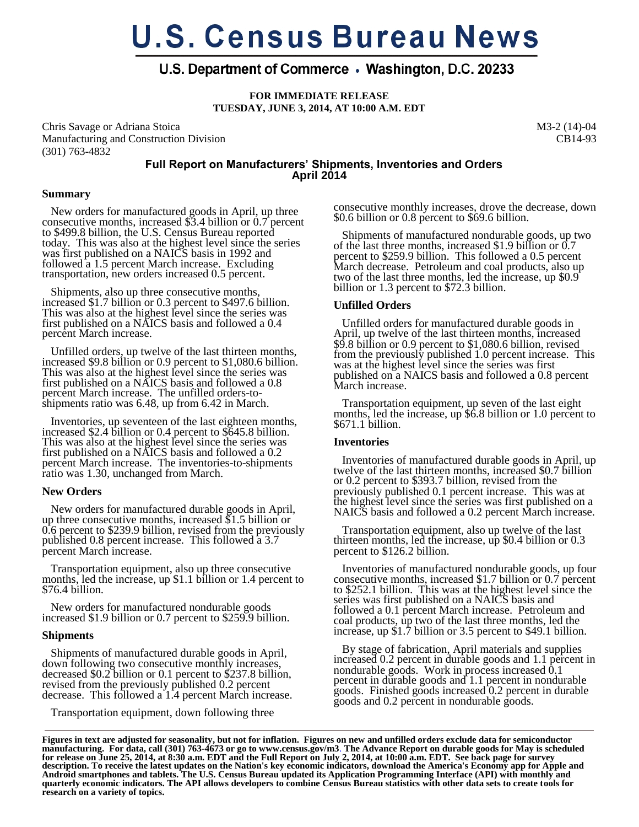# **U.S. Census Bureau News**

# U.S. Department of Commerce • Washington, D.C. 20233

**FOR IMMEDIATE RELEASE TUESDAY, JUNE 3, 2014, AT 10:00 A.M. EDT**

Chris Savage or Adriana Stoica Manufacturing and Construction Division (301) 763-4832

M3-2 (14)-04 CB14-93

# **Full Report on Manufacturers' Shipments, Inventories and Orders April 2014**

## **Summary**

 New orders for manufactured goods in April, up three consecutive months, increased  $\overline{3}$ .4 billion or 0.7 percent to \$499.8 billion, the U.S. Census Bureau reported today. This was also at the highest level since the series was first published on a NAICS basis in 1992 and followed a 1.5 percent March increase. Excluding transportation, new orders increased 0.5 percent.

 Shipments, also up three consecutive months, increased \$1.7 billion or 0.3 percent to \$497.6 billion. This was also at the highest level since the series was first published on a NAICS basis and followed a 0.4 percent March increase.

 Unfilled orders, up twelve of the last thirteen months, increased \$9.8 billion or 0.9 percent to \$1,080.6 billion. This was also at the highest level since the series was first published on a NAICS basis and followed a 0.8 percent March increase. The unfilled orders-toshipments ratio was 6.48, up from 6.42 in March.

 Inventories, up seventeen of the last eighteen months, increased \$2.4 billion or 0.4 percent to \$645.8 billion. This was also at the highest level since the series was first published on a NAICS basis and followed a 0.2 percent March increase. The inventories-to-shipments ratio was 1.30, unchanged from March.

## **New Orders**

 New orders for manufactured durable goods in April, up three consecutive months, increased \$1.5 billion or 0.6 percent to \$239.9 billion, revised from the previously published 0.8 percent increase. This followed a 3.7 percent March increase.

 Transportation equipment, also up three consecutive months, led the increase, up \$1.1 billion or 1.4 percent to \$76.4 billion.

 New orders for manufactured nondurable goods increased \$1.9 billion or 0.7 percent to \$259.9 billion.

#### **Shipments**

 Shipments of manufactured durable goods in April, down following two consecutive monthly increases, decreased \$0.2 billion or 0.1 percent to \$237.8 billion, revised from the previously published 0.2 percent decrease. This followed a 1.4 percent March increase.

Transportation equipment, down following three

consecutive monthly increases, drove the decrease, down \$0.6 billion or 0.8 percent to \$69.6 billion.

 Shipments of manufactured nondurable goods, up two of the last three months, increased \$1.9 billion or 0.7 percent to \$259.9 billion. This followed a 0.5 percent March decrease. Petroleum and coal products, also up two of the last three months, led the increase, up \$0.9 billion or 1.3 percent to \$72.3 billion.

## **Unfilled Orders**

 Unfilled orders for manufactured durable goods in April, up twelve of the last thirteen months, increased \$9.8 billion or 0.9 percent to \$1,080.6 billion, revised from the previously published 1.0 percent increase. This was at the highest level since the series was first published on a NAICS basis and followed a 0.8 percent March increase.

 Transportation equipment, up seven of the last eight months, led the increase, up \$6.8 billion or 1.0 percent to \$671.1 billion.

## **Inventories**

 Inventories of manufactured durable goods in April, up twelve of the last thirteen months, increased \$0.7 billion or 0.2 percent to \$393.7 billion, revised from the previously published 0.1 percent increase. This was at the highest level since the series was first published on a NAICS basis and followed a 0.2 percent March increase.

 Transportation equipment, also up twelve of the last thirteen months, led the increase, up \$0.4 billion or 0.3 percent to \$126.2 billion.

 Inventories of manufactured nondurable goods, up four consecutive months, increased \$1.7 billion or 0.7 percent to \$252.1 billion. This was at the highest level since the series was first published on a NAICS basis and followed a 0.1 percent March increase. Petroleum and coal products, up two of the last three months, led the increase, up \$1.7 billion or 3.5 percent to \$49.1 billion.

 By stage of fabrication, April materials and supplies increased 0.2 percent in durable goods and 1.1 percent in nondurable goods. Work in process increased 0.1 percent in durable goods and 1.1 percent in nondurable goods. Finished goods increased 0.2 percent in durable goods and 0.2 percent in nondurable goods.

**Figures in text are adjusted for seasonality, but not for inflation. Figures on new and unfilled orders exclude data for semiconductor manufacturing. For data, call (301) 763-4673 or go to www.census.gov/m3**. **The Advance Report on durable goods for May is scheduled for release on June 25, 2014, at 8:30 a.m. EDT and the Full Report on July 2, 2014, at 10:00 a.m. EDT. See back page for survey description. To receive the latest updates on the Nation's key economic indicators, download the America's Economy app for Apple and Android smartphones and tablets. The U.S. Census Bureau updated its Application Programming Interface (API) with monthly and quarterly economic indicators. The API allows developers to combine Census Bureau statistics with other data sets to create tools for research on a variety of topics.**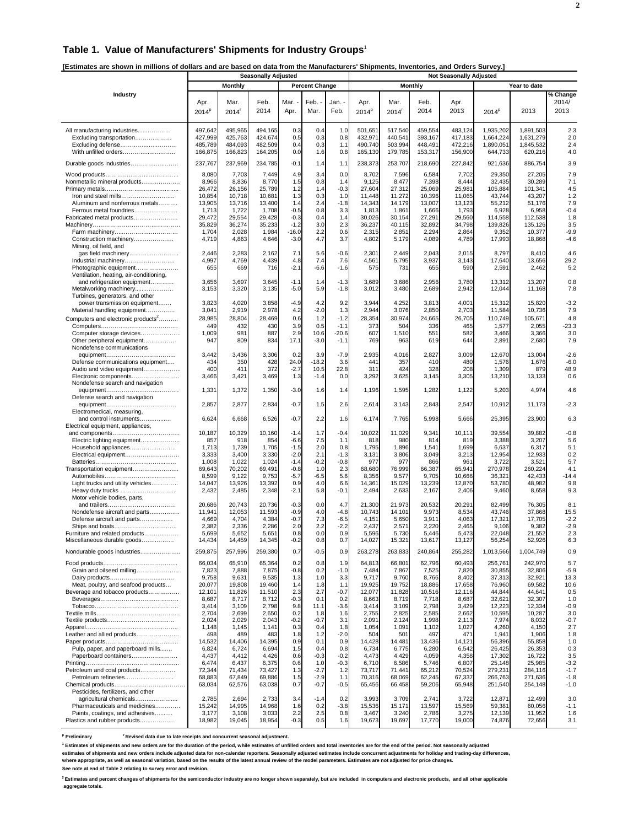#### **Table 1. Value of Manufacturers' Shipments for Industry Groups**<sup>1</sup>

**[Estimates are shown in millions of dollars and are based on data from the Manufacturers' Shipments, Inventories, and Orders Survey.]** 

|                                                                 | <b>Seasonally Adjusted</b> |                     |                  |                  |                       |               |                  |                   | <b>Not Seasonally Adjusted</b> |                  |                    |                    |                  |
|-----------------------------------------------------------------|----------------------------|---------------------|------------------|------------------|-----------------------|---------------|------------------|-------------------|--------------------------------|------------------|--------------------|--------------------|------------------|
|                                                                 |                            | <b>Monthly</b>      |                  |                  | <b>Percent Change</b> |               |                  |                   | <b>Monthly</b>                 |                  |                    | Year to date       |                  |
| Industry                                                        |                            |                     |                  |                  |                       |               |                  |                   |                                |                  |                    |                    | % Change         |
|                                                                 | Apr.                       | Mar.                | Feb.             | Mar.             | Feb. .                | Jan.          | Apr.             | Mar.              | Feb.                           | Apr.             |                    |                    | 2014/            |
|                                                                 | $2014^p$                   | $2014$ <sup>r</sup> | 2014             | Apr.             | Mar.                  | Feb.          | $2014^p$         | 2014 <sup>r</sup> | 2014                           | 2013             | $2014^p$           | 2013               | 2013             |
|                                                                 |                            |                     |                  |                  |                       |               |                  |                   |                                |                  |                    |                    |                  |
| All manufacturing industries                                    | 497,642                    | 495,965             | 494,165          | 0.3              | 0.4                   | 1.0           | 501,651          | 517,540           | 459,554                        | 483,124          | 1.935.202          | 1,891,503          | 2.3              |
| Excluding transportation                                        | 427,999                    | 425,763             | 424,674          | 0.5              | 0.3                   | 0.8           | 432,971          | 440,541           | 393,167                        | 417,183          | 1,664,224          | 1,631,279          | 2.0              |
| Excluding defense                                               | 485,789                    | 484,093             | 482,509          | 0.4              | 0.3                   | 1.1           | 490,740          | 503,994           | 448,491                        | 472,216          | 1,890,051          | 1,845,532          | 2.4              |
| With unfilled orders                                            | 166,875                    | 166,823             | 164,205          | 0.0              | 1.6                   | 0.8           | 165,130          | 179,785           | 153,317                        | 156,900          | 644,733            | 620,216            | 4.0              |
| Durable goods industries                                        | 237,767                    | 237,969             | 234,785          | $-0.1$           | 1.4                   | 1.1           | 238,373          | 253,707           | 218,690                        | 227,842          | 921,636            | 886,754            | 3.9              |
|                                                                 |                            |                     |                  |                  |                       |               |                  |                   |                                |                  |                    |                    |                  |
| Nonmetallic mineral products                                    | 8,080<br>8,966             | 7,703<br>8,836      | 7,449<br>8,770   | 4.9<br>1.5       | 3.4<br>0.8            | 0.0<br>1.4    | 8,702<br>9,125   | 7,596<br>8,477    | 6,584<br>7,398                 | 7,702<br>8,444   | 29,350<br>32,435   | 27,205<br>30,289   | 7.9<br>7.1       |
|                                                                 | 26,472                     | 26,156              | 25,789           | 1.2              | 1.4                   | $-0.3$        | 27,604           | 27,312            | 25,069                         | 25,981           | 105,884            | 101,341            | 4.5              |
| Iron and steel mills                                            | 10,854                     | 10,718              | 10,681           | 1.3              | 0.3                   | 1.0           | 11,448           | 11,272            | 10,396                         | 11,065           | 43,744             | 43,207             | 1.2              |
| Aluminum and nonferrous metals                                  | 13,905                     | 13,716              | 13,400           | 1.4              | 2.4                   | $-1.8$        | 14,343           | 14,179            | 13,007                         | 13,123           | 55,212             | 51,176             | 7.9              |
| Ferrous metal foundries                                         | 1,713                      | 1,722               | 1,708            | $-0.5$           | 0.8                   | 3.3           | 1,813            | 1,861             | 1,666                          | 1,793            | 6,928              | 6,958              | $-0.4$           |
| Fabricated metal products                                       | 29,472                     | 29,554              | 29,428           | $-0.3$           | 0.4                   | 1.4           | 30,026           | 30,154            | 27,291                         | 29,560           | 114,558            | 112,538            | 1.8              |
|                                                                 | 35,829                     | 36,274              | 35,233           | $-1.2$           | 3.0                   | 2.3           | 36,237           | 40,115            | 32,892                         | 34,798           | 139,826            | 135,126            | 3.5              |
|                                                                 | 1,704                      | 2,028               | 1,984            | $-16.0$          | 2.2                   | 0.6           | 2,315            | 2,851             | 2,294                          | 2,864            | 9,352              | 10,377             | $-9.9$           |
| Construction machinery<br>Mining, oil field, and                | 4,719                      | 4,863               | 4,646            | $-3.0$           | 4.7                   | 3.7           | 4,802            | 5,179             | 4,089                          | 4,789            | 17,993             | 18,868             | $-4.6$           |
| gas field machinery                                             | 2,446                      | 2,283               | 2,162            | 7.1              | 5.6                   | $-0.6$        | 2,301            | 2,449             | 2,043                          | 2,015            | 8,797              | 8,410              | 4.6              |
| Industrial machinery                                            | 4,997                      | 4,769               | 4,439            | 4.8              | 7.4                   | 7.6           | 4,561            | 5,795             | 3,937                          | 3,143            | 17,640             | 13,656             | 29.2             |
| Photographic equipment                                          | 655                        | 669                 | 716              | $-2.1$           | $-6.6$                | $-1.6$        | 575              | 731               | 655                            | 590              | 2,591              | 2,462              | 5.2              |
| Ventilation, heating, air-conditioning,                         |                            |                     |                  |                  |                       |               |                  |                   |                                |                  |                    |                    |                  |
| and refrigeration equipment                                     | 3,656                      | 3,697               | 3,645            | $-1.1$           | 1.4                   | $-1.3$        | 3,689            | 3,686             | 2,956                          | 3,780            | 13,312             | 13,207             | 0.8              |
| Metalworking machinery                                          | 3,153                      | 3,320               | 3,135            | $-5.0$           | 5.9                   | $-1.8$        | 3,012            | 3,480             | 2,689                          | 2,942            | 12,044             | 11,168             | 7.8              |
| Turbines, generators, and other<br>power transmission equipment | 3,823                      | 4,020               | 3,858            | $-4.9$           | 4.2                   | 9.2           | 3,944            | 4,252             | 3,813                          | 4,001            | 15,312             | 15,820             | $-3.2$           |
| Material handling equipment                                     | 3,041                      | 2,919               | 2,978            | 4.2              | $-2.0$                | 1.3           | 2,944            | 3,076             | 2,850                          | 2,703            | 11,584             | 10,736             | 7.9              |
| Computers and electronic products <sup>2</sup>                  | 28,985                     | 28,804              | 28,469           | 0.6              | 1.2                   | $-1.2$        | 28,354           | 30,974            | 24,665                         | 26,705           | 110,749            | 105,671            | 4.8              |
|                                                                 | 449                        | 432                 | 430              | 3.9              | 0.5                   | $-1.1$        | 373              | 504               | 336                            | 465              | 1,577              | 2,055              | $-23.3$          |
| Computer storage devices                                        | 1,009                      | 981                 | 887              | 2.9              | 10.6                  | $-20.6$       | 607              | 1,510             | 551                            | 582              | 3,466              | 3,366              | 3.0              |
| Other peripheral equipment                                      | 947                        | 809                 | 834              | 17.1             | $-3.0$                | $-1.1$        | 769              | 963               | 619                            | 644              | 2,891              | 2,680              | 7.9              |
| Nondefense communications                                       |                            |                     |                  |                  |                       |               |                  |                   |                                |                  |                    |                    |                  |
|                                                                 | 3,442                      | 3,436               | 3,306            | 0.2              | 3.9                   | $-7.9$        | 2,935            | 4,016             | 2,827                          | 3,009            | 12,670             | 13,004             | $-2.6$           |
| Defense communications equipment                                | 434                        | 350                 | 428              | 24.0             | $-18.2$               | 3.6           | 441              | 357               | 410                            | 480              | 1,576              | 1,676              | $-6.0$           |
| Audio and video equipment                                       | 400                        | 411                 | 372              | $-2.7$           | 10.5                  | 22.8          | 311              | 424               | 328                            | 208              | 1,309              | 879                | 48.9             |
| Electronic components<br>Nondefense search and navigation       | 3,466                      | 3,421               | 3,469            | 1.3              | $-1.4$                | 0.0           | 3,292            | 3,625             | 3,145                          | 3,305            | 13,210             | 13,133             | 0.6              |
|                                                                 | 1,331                      | 1,372               | 1,350            | $-3.0$           | 1.6                   | 1.4           | 1,196            | 1,595             | 1,282                          | 1,122            | 5,203              | 4,974              | 4.6              |
| Defense search and navigation                                   |                            |                     |                  |                  |                       |               |                  |                   |                                |                  |                    |                    |                  |
|                                                                 | 2,857                      | 2,877               | 2,834            | $-0.7$           | 1.5                   | 2.6           | 2,614            | 3,143             | 2,843                          | 2,547            | 10,912             | 11,173             | $-2.3$           |
| Electromedical, measuring,                                      |                            |                     |                  |                  |                       |               |                  |                   |                                |                  |                    |                    |                  |
| and control instruments                                         | 6,624                      | 6,668               | 6,526            | $-0.7$           | 2.2                   | 1.6           | 6,174            | 7,765             | 5,998                          | 5,666            | 25,395             | 23,900             | 6.3              |
| Electrical equipment, appliances,                               |                            |                     |                  |                  |                       |               |                  |                   |                                |                  |                    |                    |                  |
|                                                                 | 10,187                     | 10,329              | 10,160           | $-1.4$           | 1.7<br>7.5            | $-0.4$        | 10,022           | 11,029            | 9,341                          | 10,111           | 39,554             | 39,882             | $-0.8$<br>5.6    |
| Electric lighting equipment<br>Household appliances             | 857<br>1,713               | 918<br>1,739        | 854<br>1,705     | $-6.6$<br>$-1.5$ | 2.0                   | 1.1<br>0.8    | 818<br>1,795     | 980<br>1,896      | 814<br>1,541                   | 819<br>1,699     | 3,388<br>6,637     | 3,207<br>6,317     | 5.1              |
| Electrical equipment                                            | 3,333                      | 3,400               | 3,330            | $-2.0$           | 2.1                   | $-1.3$        | 3,131            | 3,806             | 3,049                          | 3,213            | 12,954             | 12,933             | 0.2              |
|                                                                 | 1,008                      | 1,022               | 1,024            | $-1.4$           | $-0.2$                | $-0.8$        | 977              | 977               | 866                            | 961              | 3,722              | 3,521              | 5.7              |
| Transportation equipment                                        | 69,643                     | 70,202              | 69,491           | $-0.8$           | 1.0                   | 2.3           | 68,680           | 76,999            | 66,387                         | 65,941           | 270,978            | 260,224            | 4.1              |
|                                                                 | 8,599                      | 9,122               | 9,753            | $-5.7$           | $-6.5$                | 5.6           | 8,356            | 9,577             | 9,705                          | 10,666           | 36,321             | 42,433             | $-14.4$          |
| Light trucks and utility vehicles                               | 14,047                     | 13,926              | 13,392           | 0.9              | 4.0                   | 6.6           | 14,361           | 15,029            | 13,239                         | 12,870           | 53,780             | 48,982             | 9.8              |
| Heavy duty trucks                                               | 2,432                      | 2,485               | 2,348            | $-2.1$           | 5.8                   | $-0.1$        | 2,494            | 2,633             | 2,167                          | 2,406            | 9,460              | 8,658              | 9.3              |
| Motor vehicle bodies, parts,                                    | 20,686                     | 20,743              | 20,736           | $-0.3$           | 0.0                   | 4.7           | 21,300           | 21,973            | 20,532                         | 20,291           | 82,499             | 76,305             | 8.1              |
| Nondefense aircraft and parts                                   | 11,941                     | 12,053              | 11,593           | $-0.9$           | 4.0                   | $-4.8$        | 10,743           | 14,101            | 9,973                          | 8,534            | 43,746             | 37,868             | 15.5             |
| Defense aircraft and parts                                      | 4,669                      | 4,704               | 4,384            | $-0.7$           | 7.3                   | $-6.5$        | 4,151            | 5,650             | 3,911                          | 4,063            | 17,321             | 17,705             | $-2.2$           |
|                                                                 | 2,382                      | 2,336               | 2,286            | 2.0              | 2.2                   | $-2.2$        | 2,437            | 2,571             | 2,220                          | 2,465            | 9,106              | 9,382              | $-2.9$           |
| Furniture and related products                                  | 5,699                      | 5,652               | 5,651            | 0.8              | 0.0                   | 0.9           | 5,596            | 5,730             | 5,446                          | 5,473            | 22,048             | 21,552             | 2.3              |
| Miscellaneous durable goods                                     | 14,434                     | 14,459              | 14,34            | -0.2             | 0.8                   | 0.7           | 14,027           | 15,321            | 13,617                         | 13,127           | 56,254             | 52,926             | 6.3              |
| Nondurable goods industries                                     | 259,875                    | 257,996             | 259,380          | 0.7              | $-0.5$                | 0.9           | 263,278          | 263,833           | 240,864                        | 255,282          | 1,013,566          | 1,004,749          | 0.9              |
|                                                                 | 66,034                     | 65,910              | 65,364           | 0.2              | 0.8                   | 1.9           | 64,813           | 66,801            | 62,796                         | 60,493           | 256,761            | 242,970            | 5.7              |
| Grain and oilseed milling                                       | 7,823                      | 7,888               | 7,875            | $-0.8$           | 0.2                   | $-1.0$        | 7,484            | 7,867             | 7,525                          | 7,820            | 30,855             | 32,806             | $-5.9$           |
|                                                                 | 9,758                      | 9,631               | 9,535            | 1.3              | 1.0                   | 3.3           | 9,717            | 9,760             | 8,766                          | 8,402            | 37,313             | 32,921             | 13.3             |
| Meat, poultry, and seafood products                             | 20,077                     | 19,808              | 19,460           | 1.4              | 1.8                   | 1.1           | 19,925           | 19,752            | 18,886                         | 17,658           | 76,960             | 69,582             | 10.6             |
| Beverage and tobacco products                                   | 12,101                     | 11,826              | 11,510           | 2.3              | 2.7                   | $-0.7$        | 12,077           | 11,828            | 10,516                         | 12,116           | 44,844             | 44,641             | 0.5              |
|                                                                 | 8,687                      | 8,717               | 8,712            | $-0.3$           | 0.1                   | 0.2           | 8,663            | 8,719             | 7,718                          | 8,687            | 32,621             | 32,307             | 1.0              |
|                                                                 | 3,414                      | 3,109               | 2,798            | 9.8              | 11.1                  | $-3.6$        | 3,414            | 3,109             | 2,798                          | 3,429            | 12,223             | 12,334             | $-0.9$           |
|                                                                 | 2,704<br>2,024             | 2,699<br>2,029      | 2,650            | 0.2<br>$-0.2$    | 1.8<br>$-0.7$         | 1.6<br>3.1    | 2,755            | 2,825             | 2,585<br>1,998                 | 2,662            | 10,595             | 10,287             | 3.0<br>$-0.7$    |
|                                                                 | 1,148                      | 1,145               | 2,043<br>1,141   | 0.3              | 0.4                   | 1.8           | 2,091<br>1,054   | 2,124<br>1,091    | 1,102                          | 2,113<br>1,027   | 7,974<br>4,260     | 8,032<br>4,150     | 2.7              |
| Leather and allied products                                     | 498                        | 489                 | 483              | 1.8              | 1.2                   | $-2.0$        | 504              | 501               | 497                            | 471              | 1,941              | 1,906              | 1.8              |
|                                                                 | 14,532                     | 14,406              | 14,395           | 0.9              | 0.1                   | 0.9           | 14,428           | 14,481            | 13,436                         | 14,121           | 56,396             | 55,858             | 1.0              |
| Pulp, paper, and paperboard mills                               | 6,824                      | 6,724               | 6,694            | 1.5              | 0.4                   | 0.8           | 6,734            | 6,775             | 6,280                          | 6,542            | 26,425             | 26,353             | 0.3              |
| Paperboard containers                                           | 4,437                      | 4,412               | 4,426            | 0.6              | $-0.3$                | $-0.2$        | 4,473            | 4,429             | 4,059                          | 4,358            | 17,302             | 16,722             | 3.5              |
|                                                                 | 6,474                      | 6,437               | 6,375            | 0.6              | 1.0                   | $-0.3$        | 6,710            | 6,586             | 5,746                          | 6,807            | 25,148             | 25,985             | $-3.2$           |
| Petroleum and coal products                                     | 72,344                     | 71,434              | 73,427           | 1.3              | $-2.7$                | 1.2           | 73,717           | 71,441            | 65,212                         | 70,524           | 279,231            | 284,116            | $-1.7$           |
| Petroleum refineries                                            | 68,883<br>63,034           | 67,849<br>62,576    | 69,886<br>63,038 | 1.5<br>0.7       | $-2.9$<br>$-0.7$      | 1.1<br>$-0.5$ | 70,316<br>65,456 | 68,069<br>66,458  | 62,245<br>59,206               | 67,337<br>65,948 | 266,763<br>251,540 | 271,636<br>254,148 | $-1.8$<br>$-1.0$ |
| Pesticides, fertilizers, and other                              |                            |                     |                  |                  |                       |               |                  |                   |                                |                  |                    |                    |                  |
| agricultural chemicals                                          | 2,785                      | 2,694               | 2,733            | 3.4              | $-1.4$                | 0.2           | 3,993            | 3,709             | 2,741                          | 3,722            | 12,871             | 12,499             | 3.0              |
| Pharmaceuticals and medicines                                   | 15,242                     | 14,995              | 14,968           | 1.6              | 0.2                   | $-3.8$        | 15,536           | 15,171            | 13,597                         | 15,569           | 59,381             | 60,056             | $-1.1$           |
| Paints, coatings, and adhesives                                 | 3,177                      | 3,108               | 3,033            | 2.2              | 2.5                   | 0.8           | 3,467            | 3,240             | 2,786                          | 3,275            | 12,139             | 11,952             | 1.6              |
| Plastics and rubber products                                    | 18,982                     | 19,045              | 18,954           | $-0.3$           | 0.5                   | 1.6           | 19,673           | 19,697            | 17,770                         | 19,000           | 74,876             | 72,656             | 3.1              |

<sup>p</sup> Preliminary  **Preliminary r Revised data due to late receipts and concurrent seasonal adjustment.**

**1 Estimates of shipments and new orders are for the duration of the period, while estimates of unfilled orders and total inventories are for the end of the period. Not seasonally adjusted** 

**estimates of shipments and new orders include adjusted data for non-calendar reporters. Seasonally adjusted estimates include concurrent adjustments for holiday and trading-day differences,**

**where appropriate, as well as seasonal variation, based on the results of the latest annual review of the model parameters. Estimates are not adjusted for price changes. See note at end of Table 2 relating to survey error and revision.**

**2 Estimates and percent changes of shipments for the semiconductor industry are no longer shown separately, but are included in computers and electronic products, and all other applicable aggregate totals.**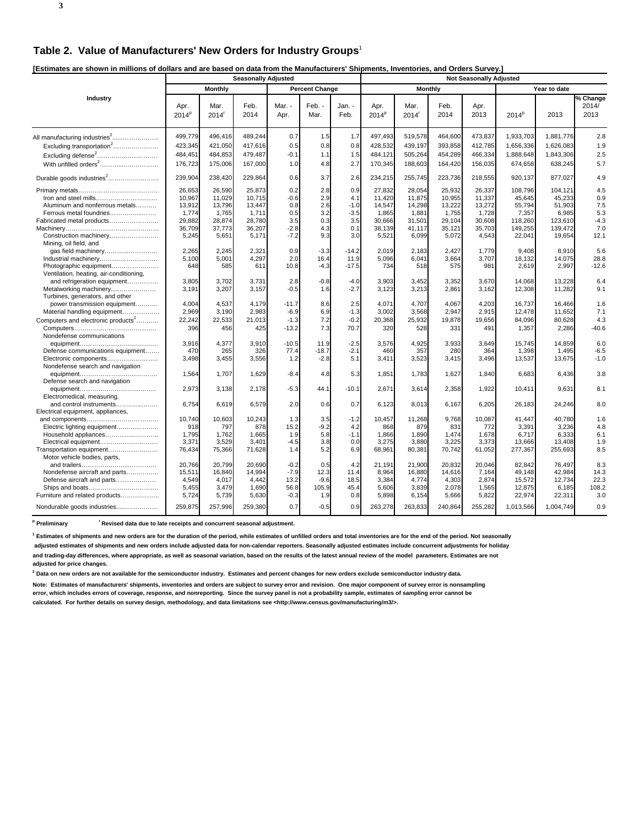**[Estimates are shown in millions of dollars and are based on data from the Manufacturers' Shipments, Inventories, and Orders Survey.]** 

| Lournaloo are one mir in miniono er aenaro ana are baoca    |                           |                           | <b>Seasonally Adjusted</b> |                   |                       |                | <b>Not Seasonally Adjusted</b> |                           |                  |                 |                   |                  |                                  |  |
|-------------------------------------------------------------|---------------------------|---------------------------|----------------------------|-------------------|-----------------------|----------------|--------------------------------|---------------------------|------------------|-----------------|-------------------|------------------|----------------------------------|--|
|                                                             |                           | <b>Monthly</b>            |                            |                   | <b>Percent Change</b> |                |                                | Monthly                   |                  |                 |                   | Year to date     |                                  |  |
| Industry                                                    | Apr.<br>2014 <sup>p</sup> | Mar.<br>2014 <sup>r</sup> | Feb.<br>2014               | Mar. -<br>Apr.    | Feb. -<br>Mar.        | Jan. -<br>Feb. | Apr.<br>2014 <sup>P</sup>      | Mar.<br>2014 <sup>r</sup> | Feb.<br>2014     | Apr.<br>2013    | 2014 <sup>p</sup> | 2013             | $\sqrt%$ Change<br>2014/<br>2013 |  |
|                                                             | 499,779                   | 496,416                   | 489,244                    | 0.7               | 1.5                   | 1.7            | 497,493                        | 519,578                   | 464,600          | 473,837         | 1,933,703         | 1,881,776        | 2.8                              |  |
| Excluding transportation <sup>2</sup>                       | 423,345                   | 421,050                   | 417,616                    | 0.5               | 0.8                   | 0.8            | 428,532                        | 439,197                   | 393,858          | 412,785         | 1,656,336         | 1,626,083        | 1.9                              |  |
| Excluding defense <sup>2</sup>                              | 484,45                    | 484,853                   | 479,487                    | $-0.1$            | 1.1                   | 1.5            | 484,121                        | 505,264                   | 454,289          | 466,334         | 1,888,648         | 1,843,306        | 2.5                              |  |
|                                                             | 176,723                   | 175,006                   | 167,000                    | 1.0               | 4.8                   | 2.7            | 170,345                        | 188,603                   | 164,420          | 156,035         | 674,658           | 638,245          | 5.7                              |  |
| Durable goods industries <sup>2</sup>                       | 239,904                   | 238,420                   | 229,864                    | 0.6               | 3.7                   | 2.6            | 234,215                        | 255,745                   | 223,736          | 218,555         | 920,137           | 877,027          | 4.9                              |  |
|                                                             | 26,653                    | 26,590                    | 25,873                     | 0.2               | 2.8                   | 0.9            | 27,832                         | 28,054                    | 25,932           | 26,337          | 108,796           | 104,121          | 4.5                              |  |
| Iron and steel mills                                        | 10,967                    | 11,029                    | 10,715                     | $-0.6$            | 2.9                   | 4.1            | 11,420                         | 11,875                    | 10,955           | 11,337          | 45,645            | 45,233           | 0.9                              |  |
| Aluminum and nonferrous metals                              | 13,912                    | 13,796                    | 13,447                     | 0.8               | 2.6                   | $-1.0$         | 14,547                         | 14,298                    | 13,222           | 13,272          | 55,794            | 51,903           | 7.5                              |  |
| Ferrous metal foundries                                     | 1,774                     | 1,765                     | 1,711                      | 0.5               | 3.2                   | $-3.5$         | 1,865                          | 1,881                     | 1,755            | 1,728           | 7,357             | 6,985            | 5.3                              |  |
| Fabricated metal products                                   | 29,882                    | 28,874                    | 28,780                     | 3.5               | 0.3                   | 3.5            | 30,666                         | 31,501                    | 29,104           | 30,608          | 118,260           | 123,610          | $-4.3$                           |  |
|                                                             | 36,709                    | 37,773                    | 36,207                     | $-2.8$            | 4.3                   | 0.1            | 38,139                         | 41,117                    | 35,121           | 35,703          | 149,255           | 139,472          | 7.0                              |  |
| Construction machinery<br>Mining, oil field, and            | 5,245                     | 5,651                     | 5,171                      | $-7.2$            | 9.3                   | 3.0            | 5,521                          | 6,099                     | 5,072            | 4,543           | 22,041            | 19,654           | 12.1                             |  |
| gas field machinery                                         | 2,265                     | 2.245                     | 2,321                      | 0.9               | $-3.3$                | $-14.2$        | 2.019                          | 2.183                     | 2.427            | 1.779           | 9.408             | 8.910            | 5.6                              |  |
|                                                             | 5,100                     | 5,001                     | 4,297                      | 2.0               | 16.4                  | 11.9           | 5.096                          | 6,041                     | 3.664            | 3,707           | 18,132            | 14,075           | 28.8                             |  |
| Photographic equipment                                      | 648                       | 585                       | 611                        | 10.8              | $-4.3$                | $-17.5$        | 734                            | 518                       | 575              | 981             | 2,619             | 2,997            | $-12.6$                          |  |
| Ventilation, heating, air-conditioning,                     |                           |                           |                            |                   |                       |                |                                |                           |                  |                 |                   |                  |                                  |  |
| and refrigeration equipment                                 | 3,805                     | 3,702                     | 3,731                      | 2.8               | $-0.8$                | $-4.0$         | 3,903                          | 3,452                     | 3,352            | 3,670           | 14,068            | 13,228           | 6.4                              |  |
| Metalworking machinery                                      | 3,191                     | 3,207                     | 3,157                      | $-0.5$            | 1.6                   | $-2.7$         | 3,123                          | 3,213                     | 2,861            | 3,162           | 12,308            | 11,282           | 9.1                              |  |
| Turbines, generators, and other                             | 4,004                     | 4,537                     | 4,179                      |                   |                       | 2.5            | 4,071                          | 4,707                     | 4,067            | 4,203           | 16,737            | 16,466           | 1.6                              |  |
| power transmission equipment                                | 2,969                     | 3,190                     | 2,983                      | $-11.7$<br>$-6.9$ | 8.6<br>6.9            | $-1.3$         | 3,002                          | 3,568                     | 2,947            | 2,915           | 12,478            | 11,652           | 7.1                              |  |
| Material handling equipment                                 |                           | 22,533                    | 21,013                     | $-1.3$            | 7.2                   | $-0.2$         | 20,368                         | 25,932                    |                  | 19,656          |                   | 80,628           | 4.3                              |  |
| Computers and electronic products <sup>2</sup>              | 22,242<br>396             |                           | 425                        | $-13.2$           | 7.3                   | 70.7           | 320                            | 528                       | 19,878<br>331    |                 | 84,096            |                  | $-40.6$                          |  |
| Nondefense communications                                   |                           | 456                       |                            |                   |                       |                |                                |                           |                  | 491             | 1,357             | 2,286            |                                  |  |
|                                                             | 3,916                     | 4,377                     | 3,910                      | $-10.5$           | 11.9                  | $-2.5$         | 3,576                          | 4,925                     | 3,933            | 3,649           | 15,745            | 14,859           | 6.0                              |  |
| Defense communications equipment                            | 470                       | 265                       | 326                        | 77.4              | $-18.7$               | $-2.1$         | 460                            | 357                       | 280              | 364             | 1,398             | 1,495            | $-6.5$                           |  |
| Electronic components                                       | 3,498                     | 3,455                     | 3,556                      | 1.2               | $-2.8$                | 5.1            | 3,411                          | 3,523                     | 3,415            | 3,496           | 13,537            | 13,675           | $-1.0$                           |  |
| Nondefense search and navigation                            |                           |                           |                            |                   |                       |                |                                |                           |                  |                 |                   |                  |                                  |  |
|                                                             | 1,564                     | 1,707                     | 1,629                      | $-8.4$            | 4.8                   | 5.3            | 1,851                          | 1,783                     | 1,627            | 1,840           | 6,683             | 6,436            | 3.8                              |  |
| Defense search and navigation                               |                           |                           |                            |                   |                       |                |                                |                           |                  |                 |                   |                  |                                  |  |
|                                                             | 2,973                     | 3,138                     | 2,178                      | $-5.3$            | 44.1                  | $-10.1$        | 2,671                          | 3,614                     | 2,358            | 1,922           | 10,411            | 9,631            | 8.1                              |  |
| Electromedical, measuring,                                  |                           |                           |                            |                   |                       |                |                                |                           |                  |                 |                   |                  |                                  |  |
| and control instruments                                     | 6,754                     | 6,619                     | 6,579                      | 2.0               | 0.6                   | 0.7            | 6,123                          | 8,013                     | 6,167            | 6,205           | 26,183            | 24,246           | 8.0                              |  |
| Electrical equipment, appliances,                           |                           |                           |                            |                   |                       |                |                                |                           |                  |                 |                   |                  |                                  |  |
|                                                             | 10.740                    | 10.603                    | 10,243                     | 1.3               | 3.5                   | $-1.2$         | 10.457                         | 11,268                    | 9.768            | 10.087          | 41.447            | 40.780           | 1.6                              |  |
| Electric lighting equipment                                 | 918                       | 797                       | 878                        | 15.2              | $-9.2$                | 4.2            | 868                            | 879                       | 831              | 772             | 3,391             | 3,236            | 4.8                              |  |
| Household appliances                                        | 1,795                     | 1.762                     | 1,665                      | 1.9               | 5.8                   | $-1.1$         | 1,866                          | 1,890                     | 1,474            | 1,678           | 6,717             | 6,333            | 6.1                              |  |
| Electrical equipment                                        | 3,371                     | 3,529                     | 3,401                      | $-4.5$            | 3.8                   | 0.0            | 3,275                          | 3,880                     | 3,225            | 3,373           | 13,666            | 13,408           | 1.9                              |  |
| Transportation equipment                                    | 76,434                    | 75,366                    | 71,628                     | 1.4               | 5.2                   | 6.9            | 68,961                         | 80,381                    | 70,742           | 61,052          | 277,367           | 255,693          | 8.5                              |  |
| Motor vehicle bodies, parts,                                |                           |                           |                            |                   |                       |                |                                |                           |                  |                 |                   |                  |                                  |  |
|                                                             | 20,766<br>15,511          | 20,799<br>16,840          | 20,690<br>14,994           | $-0.2$<br>$-7.9$  | 0.5<br>12.3           | 4.2<br>11.4    | 21,191<br>8,964                | 21,900<br>16,880          | 20,832<br>14,616 | 20,046<br>7,164 | 82,842<br>49,148  | 76,497<br>42,984 | 8.3<br>14.3                      |  |
| Nondefense aircraft and parts<br>Defense aircraft and parts | 4,549                     | 4,017                     | 4,442                      | 13.2              | $-9.6$                | 18.5           | 3,384                          | 4,774                     | 4,303            | 2,874           | 15,572            | 12,734           | 22.3                             |  |
| Ships and boats                                             | 5,455                     | 3,479                     | 1,690                      | 56.8              | 105.9                 | 45.4           | 5,606                          | 3,839                     | 2,078            | 1,565           | 12,875            | 6,185            | 108.2                            |  |
| Furniture and related products                              | 5,724                     | 5,739                     | 5,630                      | $-0.3$            | 1.9                   | 0.8            | 5,898                          | 6,154                     | 5,666            | 5,822           | 22,974            | 22,311           | 3.0                              |  |
| Nondurable goods industries                                 | 259,875                   | 257,996                   | 259,380                    | 0.7               | $-0.5$                | 0.9            | 263,278                        | 263,833                   | 240,864          | 255,282         | 1,013,566         | 1,004,749        | 0.9                              |  |
|                                                             |                           |                           |                            |                   |                       |                |                                |                           |                  |                 |                   |                  |                                  |  |

<sup>p</sup> Preliminary <sup>r</sup> Revised data due to late receipts and concurrent seasonal adjustment.

**1 Estimates of shipments and new orders are for the duration of the period, while estimates of unfilled orders and total inventories are for the end of the period. Not seasonally adjusted estimates of shipments and new orders include adjusted data for non-calendar reporters. Seasonally adjusted estimates include concurrent adjustments for holiday and trading-day differences, where appropriate, as well as seasonal variation, based on the results of the latest annual review of the model parameters. Estimates are not adjusted for price changes.**

**2 Data on new orders are not available for the semiconductor industry. Estimates and percent changes for new orders exclude semiconductor industry data.**

**Note: Estimates of manufacturers' shipments, inventories and orders are subject to survey error and revision. One major component of survey error is nonsampling error, which includes errors of coverage, response, and nonreporting. Since the survey panel is not a probability sample, estimates of sampling error cannot be calculated. For further details on survey design, methodology, and data limitations see <http://www.census.gov/manufacturing/m3/>.**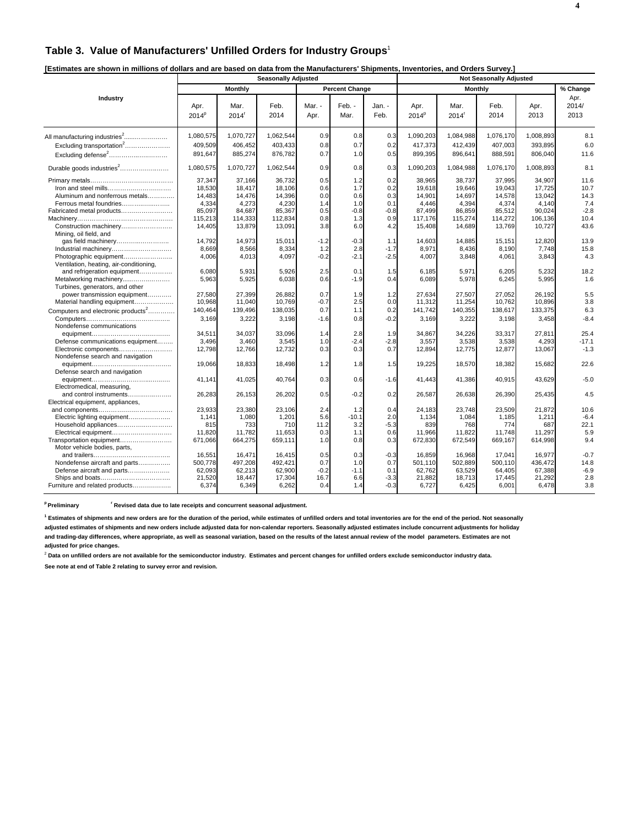# **Table 3. Value of Manufacturers' Unfilled Orders for Industry Groups**<sup>1</sup>

| [Estimates are shown in millions of dollars and are based on data from the Manufacturers' Shipments, Inventories, and Orders Survey.] |  |  |
|---------------------------------------------------------------------------------------------------------------------------------------|--|--|
|                                                                                                                                       |  |  |

|                                                                                                                               | <b>Seasonally Adjusted</b>                                         |                                                                    |                                                                    |                                               |                                                  |                                                  |                                                                    | <b>Not Seasonally Adjusted</b>                                     |                                                                    |                                                                    |                                                       |
|-------------------------------------------------------------------------------------------------------------------------------|--------------------------------------------------------------------|--------------------------------------------------------------------|--------------------------------------------------------------------|-----------------------------------------------|--------------------------------------------------|--------------------------------------------------|--------------------------------------------------------------------|--------------------------------------------------------------------|--------------------------------------------------------------------|--------------------------------------------------------------------|-------------------------------------------------------|
|                                                                                                                               |                                                                    | Monthly                                                            |                                                                    |                                               | <b>Percent Change</b>                            |                                                  |                                                                    | Monthly                                                            |                                                                    |                                                                    | % Change                                              |
| Industry                                                                                                                      | Apr.<br>2014 <sup>P</sup>                                          | Mar.<br>2014 <sup>r</sup>                                          | Feb.<br>2014                                                       | Mar. -<br>Apr.                                | Feb. -<br>Mar.                                   | Jan. -<br>Feb.                                   | Apr.<br>2014 <sup>P</sup>                                          | Mar.<br>2014 <sup>r</sup>                                          | Feb.<br>2014                                                       | Apr.<br>2013                                                       | Apr.<br>2014/<br>2013                                 |
| All manufacturing industries <sup>2</sup><br>Excluding transportation <sup>2</sup><br>Excluding defense <sup>2</sup>          | 1,080,575<br>409,509<br>891,647                                    | 1,070,727<br>406,452<br>885,274                                    | 1,062,544<br>403,433<br>876,782                                    | 0.9<br>0.8<br>0.7                             | 0.8<br>0.7<br>1.0                                | 0.3<br>0.2<br>0.5                                | 1,090,203<br>417,373<br>899,395                                    | 1,084,988<br>412,439<br>896,641                                    | 1,076,170<br>407,003<br>888,591                                    | 1.008.893<br>393,895<br>806.040                                    | 8.1<br>6.0<br>11.6                                    |
| Durable goods industries <sup>2</sup>                                                                                         | 1,080,575                                                          | 1,070,727                                                          | 1,062,544                                                          | 0.9                                           | 0.8                                              | 0.3                                              | 1,090,203                                                          | 1,084,988                                                          | 1,076,170                                                          | 1,008,893                                                          | 8.1                                                   |
| Aluminum and nonferrous metals<br>Ferrous metal foundries<br>Fabricated metal products<br>Construction machinery              | 37,347<br>18,530<br>14.483<br>4,334<br>85,097<br>115,213<br>14,405 | 37,166<br>18,417<br>14,476<br>4,273<br>84,687<br>114,333<br>13,879 | 36,732<br>18,106<br>14,396<br>4,230<br>85,367<br>112,834<br>13,091 | 0.5<br>0.6<br>0.0<br>1.4<br>0.5<br>0.8<br>3.8 | 1.2<br>1.7<br>0.6<br>1.0<br>$-0.8$<br>1.3<br>6.0 | 0.2<br>0.2<br>0.3<br>0.1<br>$-0.8$<br>0.9<br>4.2 | 38,965<br>19,618<br>14.901<br>4.446<br>87,499<br>117,176<br>15,408 | 38,737<br>19,646<br>14,697<br>4,394<br>86,859<br>115,274<br>14,689 | 37,995<br>19,043<br>14,578<br>4,374<br>85,512<br>114,272<br>13,769 | 34,907<br>17,725<br>13.042<br>4.140<br>90,024<br>106,136<br>10,727 | 11.6<br>10.7<br>14.3<br>7.4<br>$-2.8$<br>10.4<br>43.6 |
| Mining, oil field, and<br>Industrial machinery<br>Ventilation, heating, air-conditioning,                                     | 14,792<br>8.669<br>4,006                                           | 14,973<br>8,566<br>4,013                                           | 15,011<br>8,334<br>4,097                                           | $-1.2$<br>1.2<br>$-0.2$                       | $-0.3$<br>2.8<br>$-2.1$                          | 1.1<br>$-1.7$<br>$-2.5$                          | 14,603<br>8.971<br>4,007                                           | 14,885<br>8,436<br>3,848                                           | 15,151<br>8.190<br>4,061                                           | 12,820<br>7.748<br>3,843                                           | 13.9<br>15.8<br>4.3                                   |
| and refrigeration equipment<br>Metalworking machinery<br>Turbines, generators, and other<br>power transmission equipment      | 6,080<br>5,963<br>27.580                                           | 5,931<br>5,925<br>27.399                                           | 5,926<br>6,038<br>26.882                                           | 2.5<br>0.6<br>0.7                             | 0.1<br>$-1.9$<br>1.9                             | 1.5<br>0.4<br>1.2                                | 6,185<br>6,089<br>27.634                                           | 5,971<br>5,978<br>27.507                                           | 6,205<br>6,245<br>27.052                                           | 5,232<br>5,995<br>26.192                                           | 18.2<br>1.6<br>5.5                                    |
| Material handling equipment<br>Computers and electronic products <sup>2</sup>                                                 | 10,968<br>140,464<br>3,169                                         | 11,040<br>139,496<br>3,222                                         | 10,769<br>138,035<br>3,198                                         | $-0.7$<br>0.7<br>$-1.6$                       | 2.5<br>1.1<br>0.8                                | 0.0<br>0.2<br>$-0.2$                             | 11,312<br>141,742<br>3,169                                         | 11,254<br>140,355<br>3,222                                         | 10.762<br>138,617<br>3,198                                         | 10,896<br>133,375<br>3,458                                         | 3.8<br>6.3<br>$-8.4$                                  |
| Nondefense communications<br>Defense communications equipment<br>Electronic components<br>Nondefense search and navigation    | 34,511<br>3,496<br>12,798                                          | 34,037<br>3,460<br>12,766                                          | 33,096<br>3.545<br>12,732                                          | 1.4<br>1.0<br>0.3                             | 2.8<br>$-2.4$<br>0.3                             | 1.9<br>$-2.8$<br>0.7                             | 34,867<br>3,557<br>12,894                                          | 34,226<br>3,538<br>12,775                                          | 33,317<br>3,538<br>12,877                                          | 27,811<br>4,293<br>13,067                                          | 25.4<br>$-17.1$<br>$-1.3$                             |
| Defense search and navigation                                                                                                 | 19,066                                                             | 18,833                                                             | 18,498                                                             | 1.2                                           | 1.8                                              | 1.5                                              | 19,225                                                             | 18,570                                                             | 18,382                                                             | 15,682                                                             | 22.6                                                  |
| Electromedical, measuring,                                                                                                    | 41.141                                                             | 41,025                                                             | 40,764                                                             | 0.3                                           | 0.6                                              | $-1.6$                                           | 41,443                                                             | 41,386                                                             | 40,915                                                             | 43,629                                                             | $-5.0$                                                |
| and control instruments<br>Electrical equipment, appliances,                                                                  | 26,283                                                             | 26,153                                                             | 26,202                                                             | 0.5                                           | $-0.2$                                           | 0.2                                              | 26,587                                                             | 26,638                                                             | 26,390                                                             | 25,435                                                             | 4.5                                                   |
| Electric lighting equipment<br>Household appliances<br>Electrical equipment<br>Transportation equipment                       | 23,933<br>1,141<br>815<br>11,820<br>671,066                        | 23,380<br>1,080<br>733<br>11,782<br>664,275                        | 23,106<br>1,201<br>710<br>11,653<br>659,111                        | 2.4<br>5.6<br>11.2<br>0.3<br>1.0              | 1.2<br>$-10.1$<br>3.2<br>1.1<br>0.8              | 0.4<br>2.0<br>$-5.3$<br>0.6<br>0.3               | 24,183<br>1,134<br>839<br>11,966<br>672,830                        | 23,748<br>1,084<br>768<br>11,822<br>672,549                        | 23,509<br>1,185<br>774<br>11,748<br>669,167                        | 21,872<br>1,211<br>687<br>11,297<br>614,998                        | 10.6<br>$-6.4$<br>22.1<br>5.9<br>9.4                  |
| Motor vehicle bodies, parts,<br>Nondefense aircraft and parts<br>Defense aircraft and parts<br>Furniture and related products | 16,551<br>500,778<br>62,093<br>21,520<br>6,374                     | 16,471<br>497,208<br>62,213<br>18,447<br>6,349                     | 16,415<br>492,421<br>62,900<br>17,304<br>6,262                     | 0.5<br>0.7<br>$-0.2$<br>16.7<br>0.4           | 0.3<br>1.0<br>$-1.1$<br>6.6<br>1.4               | $-0.3$<br>0.7<br>0.1<br>$-3.3$<br>$-0.3$         | 16,859<br>501,110<br>62,762<br>21,882<br>6,727                     | 16,968<br>502,889<br>63,529<br>18,713<br>6,425                     | 17,041<br>500,110<br>64,405<br>17,445<br>6,001                     | 16,977<br>436,472<br>67,388<br>21,292<br>6,478                     | $-0.7$<br>14.8<br>$-6.9$<br>2.8<br>3.8                |

<sup>p</sup> Preliminary **read Figure 1 Revised data due to late receipts and concurrent seasonal adjustment.** 

**1 Estimates of shipments and new orders are for the duration of the period, while estimates of unfilled orders and total inventories are for the end of the period. Not seasonally**

**adjusted estimates of shipments and new orders include adjusted data for non-calendar reporters. Seasonally adjusted estimates include concurrent adjustments for holiday and trading-day differences, where appropriate, as well as seasonal variation, based on the results of the latest annual review of the model parameters. Estimates are not adjusted for price changes.**

<sup>2</sup> Data on unfilled orders are not available for the semiconductor industry. Estimates and percent changes for unfilled orders exclude semiconductor industry data.

**See note at end of Table 2 relating to survey error and revision.**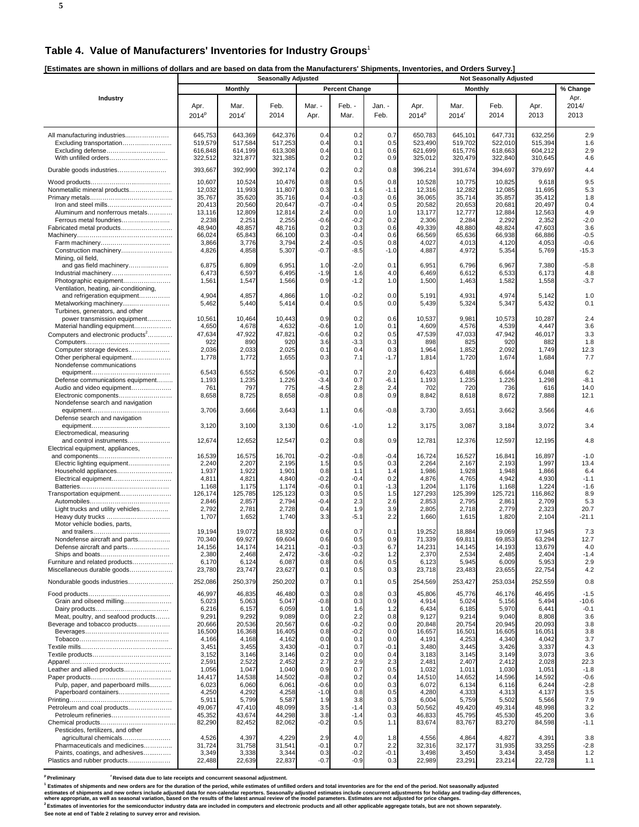# **Table 4. Value of Manufacturers' Inventories for Industry Groups**<sup>1</sup>

**[Estimates are shown in millions of dollars and are based on data from the Manufacturers' Shipments, Inventories, and Orders Survey.]** 

|                                                                                                       | <b>Seasonally Adjusted</b>               |                                          |                                          |                              |                                 |                          |                                          |                                          |                                          |                                          |                             |
|-------------------------------------------------------------------------------------------------------|------------------------------------------|------------------------------------------|------------------------------------------|------------------------------|---------------------------------|--------------------------|------------------------------------------|------------------------------------------|------------------------------------------|------------------------------------------|-----------------------------|
|                                                                                                       |                                          | <b>Monthly</b>                           |                                          |                              | <b>Percent Change</b>           |                          |                                          | <b>Monthly</b>                           |                                          |                                          | % Change                    |
| Industry                                                                                              | Apr.<br>2014 <sup>p</sup>                | Mar.<br>2014 <sup>r</sup>                | Feb.<br>2014                             | Mar. -<br>Apr.               | Feb. -<br>Mar.                  | Jan. -<br>Feb.           | Apr.<br>2014 <sup>p</sup>                | Mar.<br>2014 <sup>r</sup>                | Feb.<br>2014                             | Apr.<br>2013                             | Apr.<br>2014/<br>2013       |
| All manufacturing industries<br>Excluding transportation<br>Excluding defense<br>With unfilled orders | 645,753<br>519,579<br>616,848<br>322,512 | 643,369<br>517,584<br>614,199<br>321,877 | 642,376<br>517,253<br>613,308<br>321,385 | 0.4<br>0.4<br>0.4<br>0.2     | 0.2<br>0.1<br>0.1<br>0.2        | 0.7<br>0.5<br>0.6<br>0.9 | 650,783<br>523,490<br>621,699<br>325,012 | 645,101<br>519,702<br>615,776<br>320,479 | 647,731<br>522,010<br>618,663<br>322,840 | 632,256<br>515,394<br>604,212<br>310,645 | 2.9<br>1.6<br>2.9<br>4.6    |
| Durable goods industries                                                                              | 393,667                                  | 392,990                                  | 392,174                                  | 0.2                          | 0.2                             | 0.8                      | 396,214                                  | 391,674                                  | 394,697                                  | 379,697                                  | 4.4                         |
| Nonmetallic mineral products                                                                          | 10,607<br>12,032                         | 10,524<br>11,993                         | 10,476<br>11,807                         | 0.8<br>0.3                   | 0.5<br>1.6                      | 0.8<br>$-1.1$            | 10,528<br>12,316                         | 10,775<br>12,282                         | 10,825<br>12,085                         | 9,618<br>11,695                          | 9.5<br>5.3                  |
| Aluminum and nonferrous metals<br>Ferrous metal foundries                                             | 35,767<br>20,413<br>13,116<br>2,238      | 35,620<br>20,560<br>12,809<br>2,251      | 35,716<br>20,647<br>12,814<br>2,255      | 0.4<br>-0.7<br>2.4<br>$-0.6$ | $-0.3$<br>$-0.4$<br>0.0<br>-0.2 | 0.6<br>0.5<br>1.0<br>0.2 | 36,065<br>20,582<br>13,177<br>2,306      | 35,714<br>20,653<br>12,777<br>2,284      | 35,857<br>20,681<br>12,884<br>2,292      | 35,412<br>20,497<br>12,563<br>2,352      | 1.8<br>0.4<br>4.9<br>$-2.0$ |
| Fabricated metal products                                                                             | 48,940<br>66,024                         | 48,857<br>65,843                         | 48,716<br>66,100                         | 0.2<br>0.3                   | 0.3<br>$-0.4$                   | 0.6<br>0.6               | 49,339<br>66,569                         | 48,880<br>65,636                         | 48,824<br>66,938                         | 47,603<br>66,886                         | 3.6<br>$-0.5$               |
| Construction machinery<br>Mining, oil field,                                                          | 3,866<br>4,826                           | 3,776<br>4,858                           | 3,794<br>5,307                           | 2.4<br>$-0.7$                | $-0.5$<br>-8.5                  | 0.8<br>$-1.0$            | 4,027<br>4,887                           | 4,013<br>4,972                           | 4,120<br>5,354                           | 4,053<br>5,769                           | $-0.6$<br>$-15.3$           |
| and gas field machinery                                                                               | 6,875<br>6,473                           | 6,809<br>6,597                           | 6,951<br>6,495                           | 1.0<br>$-1.9$                | $-2.0$<br>1.6                   | 0.1<br>4.0               | 6,951<br>6,469                           | 6,796<br>6,612                           | 6,967<br>6,533                           | 7,380<br>6,173                           | $-5.8$<br>4.8               |
| Photographic equipment<br>Ventilation, heating, air-conditioning,                                     | 1,561                                    | 1,547                                    | 1,566                                    | 0.9                          | $-1.2$                          | 1.0                      | 1,500                                    | 1,463                                    | 1,582                                    | 1,558                                    | $-3.7$                      |
| and refrigeration equipment<br>Metalworking machinery<br>Turbines, generators, and other              | 4,904<br>5,462                           | 4,857<br>5,440                           | 4,866<br>5,414                           | 1.0<br>0.4                   | $-0.2$<br>0.5                   | 0.0<br>0.0               | 5,191<br>5,439                           | 4,931<br>5,324                           | 4,974<br>5,347                           | 5,142<br>5,432                           | 1.0<br>0.1                  |
| power transmission equipment<br>Material handling equipment                                           | 10,561<br>4,650                          | 10,464<br>4,678                          | 10,443<br>4,632                          | 0.9<br>$-0.6$                | 0.2<br>1.0                      | 0.6<br>0.1               | 10,537<br>4,609                          | 9,981<br>4,576                           | 10,573<br>4,539                          | 10,287<br>4,447                          | 2.4<br>3.6                  |
| Computers and electronic products <sup>2</sup>                                                        | 47,634                                   | 47,922                                   | 47,821                                   | $-0.6$                       | 0.2                             | 0.5                      | 47,539                                   | 47,033                                   | 47,942                                   | 46,017                                   | 3.3                         |
| Computer storage devices                                                                              | 922<br>2,036                             | 890<br>2,033                             | 92C<br>2,025                             | 3.6<br>0.1                   | $-3.3$<br>0.4                   | 0.3<br>0.3               | 898<br>1,964                             | 825<br>1,852                             | 920<br>2,092                             | 882<br>1,749                             | 1.8<br>12.3                 |
| Other peripheral equipment<br>Nondefense communications                                               | 1,778<br>6,543                           | 1,772<br>6,552                           | 1,655<br>6,506                           | 0.3<br>$-0.1$                | 7.1<br>0.7                      | $-1.7$<br>2.0            | 1,814<br>6,423                           | 1,720<br>6,488                           | 1,674<br>6,664                           | 1,684<br>6,048                           | 7.7<br>6.2                  |
| Defense communications equipment                                                                      | 1,193                                    | 1,235                                    | 1,226                                    | $-3.4$                       | 0.7                             | $-6.1$                   | 1,193                                    | 1,235                                    | 1,226                                    | 1,298                                    | $-8.1$                      |
| Audio and video equipment<br>Electronic components                                                    | 761<br>8,658                             | 797<br>8,725                             | 775<br>8,658                             | -4.5<br>$-0.8$               | 2.8<br>0.8                      | 2.4<br>0.9               | 702<br>8,842                             | 720<br>8,618                             | 736<br>8,672                             | 616<br>7,888                             | 14.0<br>12.1                |
| Nondefense search and navigation                                                                      |                                          |                                          |                                          |                              |                                 |                          |                                          |                                          |                                          |                                          |                             |
| Defense search and navigation                                                                         | 3,706                                    | 3,666                                    | 3,643                                    | 1.1                          | 0.6                             | $-0.8$                   | 3,730                                    | 3,651                                    | 3,662                                    | 3,566                                    | 4.6                         |
| Electromedical, measuring                                                                             | 3,120                                    | 3,100                                    | 3,130                                    | 0.6                          | $-1.0$                          | 1.2                      | 3,175                                    | 3,087                                    | 3,184                                    | 3,072                                    | 3.4                         |
| and control instruments<br>Electrical equipment, appliances,                                          | 12,674                                   | 12,652                                   | 12,547                                   | 0.2                          | 0.8                             | 0.9                      | 12,781                                   | 12,376                                   | 12,597                                   | 12,195                                   | 4.8                         |
| Electric lighting equipment                                                                           | 16,539<br>2,240                          | 16,575<br>2,207                          | 16,701<br>2,195                          | $-0.2$<br>1.5                | $-0.8$<br>0.5                   | $-0.4$<br>0.3            | 16,724<br>2,264                          | 16,527<br>2,167                          | 16,841<br>2,193                          | 16,897<br>1,997                          | $-1.0$<br>13.4              |
|                                                                                                       | 1,937                                    | 1,922                                    | 1,901                                    | 0.8                          | 1.1                             | 1.4                      | 1,986                                    | 1,928                                    | 1,948                                    | 1,866                                    | 6.4                         |
|                                                                                                       | 4,811                                    | 4,821                                    | 4,840                                    | $-0.2$                       | -0.4                            | 0.2<br>$-1.3$            | 4,876                                    | 4,765                                    | 4,942                                    | 4,930                                    | $-1.1$<br>$-1.6$            |
| Transportation equipment                                                                              | 1,168<br>126,174                         | 1,175<br>125,785                         | 1,174<br>125,123                         | $-0.6$<br>0.3                | 0.1<br>0.5                      | 1.5                      | 1,204<br>127,293                         | 1,176<br>125,399                         | 1,168<br>125,721                         | 1,224<br>116,862                         | 8.9                         |
|                                                                                                       | 2,846                                    | 2,857                                    | 2,794                                    | $-0.4$                       | 2.3                             | 2.6                      | 2,853                                    | 2,795                                    | 2,861                                    | 2,709                                    | 5.3                         |
| Light trucks and utility vehicles<br>Motor vehicle bodies, parts,                                     | 2,792<br>1,707                           | 2,781<br>1,652                           | 2,728<br>1,740                           | 0.4<br>3.3                   | 1.9<br>-5.1                     | 3.9<br>2.2               | 2,805<br>1,660                           | 2,718<br>1,615                           | 2,779<br>1,820                           | 2,323<br>2,104                           | 20.7<br>-21.1               |
| Nondefense aircraft and parts                                                                         | 19,194<br>70,340                         | 19,072<br>69,927                         | 18,932<br>69,604                         | 0.6<br>0.6                   | 0.7<br>0.5                      | 0.1<br>0.9               | 19,252<br>71,339                         | 18,884<br>69,81'                         | 19,069<br>69,853                         | 17,945<br>63,294                         | 7.3<br>12.7                 |
| Defense aircraft and parts                                                                            | 14,156                                   | 14,174                                   | 14,211                                   | $-0.1$                       | $-0.3$                          | 6.7                      | 14,231                                   | 14,145                                   | 14,193                                   | 13,679                                   | 4.0                         |
| Ships and boats<br>Furniture and related products                                                     | 2,380<br>6,170                           | 2,468<br>6,124                           | 2,472<br>6,087                           | $-3.6$<br>0.8                | $-0.2$<br>0.6                   | 1.2<br>0.5               | 2,370<br>6,123                           | 2,534<br>5,945                           | 2,485<br>6,009                           | 2,404<br>5,953                           | $-1.4$<br>2.9               |
| Miscellaneous durable goods                                                                           | 23,780                                   | 23,747                                   | 23,627                                   | 0.1                          | 0.5                             | 0.3                      | 23,718                                   | 23,483                                   | 23,655                                   | 22,754                                   | 4.2                         |
| Nondurable goods industries                                                                           | 252,086                                  | 250,379                                  | 250,202                                  | 0.7                          | 0.1                             | 0.5                      | 254,569                                  | 253,427                                  | 253,034                                  | 252,559                                  | 0.8                         |
|                                                                                                       | 46,997                                   | 46,835                                   | 46,480                                   | 0.3                          | 0.8                             | 0.3                      | 45,806                                   | 45,776                                   | 46,176                                   | 46,495                                   | $-1.5$                      |
| Grain and oilseed milling                                                                             | 5,023<br>6,216                           | 5,063<br>6,157                           | 5,047<br>6,059                           | $-0.8$<br>1.0                | 0.3<br>1.6                      | 0.9<br>1.2               | 4,914<br>6,434                           | 5,024<br>6,185                           | 5,156<br>5,970                           | 5,494<br>6,441                           | $-10.6$<br>$-0.1$           |
| Meat, poultry, and seafood products                                                                   | 9,291                                    | 9,292                                    | 9,089                                    | 0.0                          | 2.2                             | 0.8                      | 9,127                                    | 9,214                                    | 9,040                                    | 8,808                                    | 3.6                         |
| Beverage and tobacco products                                                                         | 20,666<br>16,500                         | 20,536<br>16,368                         | 20,567<br>16,405                         | 0.6<br>0.8                   | $-0.2$<br>$-0.2$                | 0.0<br>0.0               | 20,848<br>16,657                         | 20,754<br>16,501                         | 20,945<br>16,605                         | 20,093<br>16,051                         | 3.8<br>3.8                  |
|                                                                                                       | 4,166                                    | 4,168                                    | 4,162                                    | 0.0                          | 0.1                             | 0.0                      | 4,191                                    | 4,253                                    | 4,340                                    | 4,042                                    | 3.7                         |
|                                                                                                       | 3,451                                    | 3,455                                    | 3,430                                    | $-0.1$                       | 0.7                             | $-0.1$                   | 3,480                                    | 3,445                                    | 3,426                                    | 3,337                                    | 4.3                         |
|                                                                                                       | 3,152<br>2,591                           | 3,146<br>2,522                           | 3,146<br>2,452                           | 0.2<br>2.7                   | 0.0<br>2.9                      | 0.4<br>2.3               | 3,183<br>2,48'                           | 3,145<br>2,407                           | 3,149<br>2,412                           | 3,073<br>2,028                           | 3.6<br>22.3                 |
| Leather and allied products                                                                           | 1,056                                    | 1,047                                    | 1,040                                    | 0.9                          | 0.7                             | 0.5                      | 1,032                                    | 1,011                                    | 1,030                                    | 1,051                                    | $-1.8$                      |
| Pulp, paper, and paperboard mills                                                                     | 14,417<br>6,023                          | 14,538<br>6,060                          | 14,502<br>6,061                          | $-0.8$<br>$-0.6$             | 0.2<br>0.0                      | 0.4<br>0.3               | 14,510<br>6,072                          | 14,652<br>6,134                          | 14,596<br>6,116                          | 14,592<br>6,244                          | $-0.6$<br>$-2.8$            |
| Paperboard containers                                                                                 | 4,250                                    | 4,292                                    | 4,258                                    | $-1.0$                       | 0.8                             | 0.5                      | 4,280                                    | 4,333                                    | 4,313                                    | 4,137                                    | 3.5                         |
|                                                                                                       | 5,911                                    | 5,799                                    | 5,587                                    | 1.9                          | 3.8                             | 0.3                      | 6,004                                    | 5,759                                    | 5,502                                    | 5,566                                    | 7.9                         |
| Petroleum and coal products<br>Petroleum refineries                                                   | 49,067<br>45,352                         | 47,410<br>43,674                         | 48,099<br>44,298                         | 3.5<br>3.8                   | $-1.4$<br>$-1.4$                | 0.3<br>0.3               | 50,562<br>46,833                         | 49,420<br>45,795                         | 49,314<br>45,530                         | 48,998<br>45,200                         | 3.2<br>3.6                  |
| Pesticides, fertilizers, and other                                                                    | 82,290                                   | 82,452                                   | 82,062                                   | -0.2                         | 0.5                             | 1.1                      | 83,674                                   | 83,767                                   | 83,270                                   | 84,598                                   | $-1.1$                      |
| agricultural chemicals<br>Pharmaceuticals and medicines                                               | 4,526<br>31,724                          | 4,397<br>31,758                          | 4,229<br>31,541                          | 2.9<br>$-0.1$                | 4.0<br>0.7                      | 1.8<br>2.2               | 4,556<br>32,316                          | 4,864<br>32,177                          | 4,827<br>31,935                          | 4,391<br>33,255                          | 3.8<br>$-2.8$               |
| Paints, coatings, and adhesives<br>Plastics and rubber products                                       | 3,349<br>22,488                          | 3,338<br>22,639                          | 3,344<br>22,837                          | 0.3<br>$-0.7$                | $-0.2$<br>$-0.9$                | $-0.1$<br>0.3            | 3,498<br>22,989                          | 3,450<br>23,291                          | 3,434<br>23,214                          | 3,458<br>22,728                          | 1.2<br>1.1                  |

<sup>p</sup> Preliminary **reliminary Revised data due to late receipts and concurrent seasonal adjustment.** 

<sup>1</sup> Estimates of shipments and new orders are for the duration of the period, while estimates of unfilled orders and total inventories are for the end of the period. Not seasonally adjusted

estimates of shipments and new orders include adjusted data for non-calendar reporters. Seasonally adjusted estimates include concurrent adjustments for holiday and trading-day differences,<br>where appropriate, as well as se

**See note at end of Table 2 relating to survey error and revision.**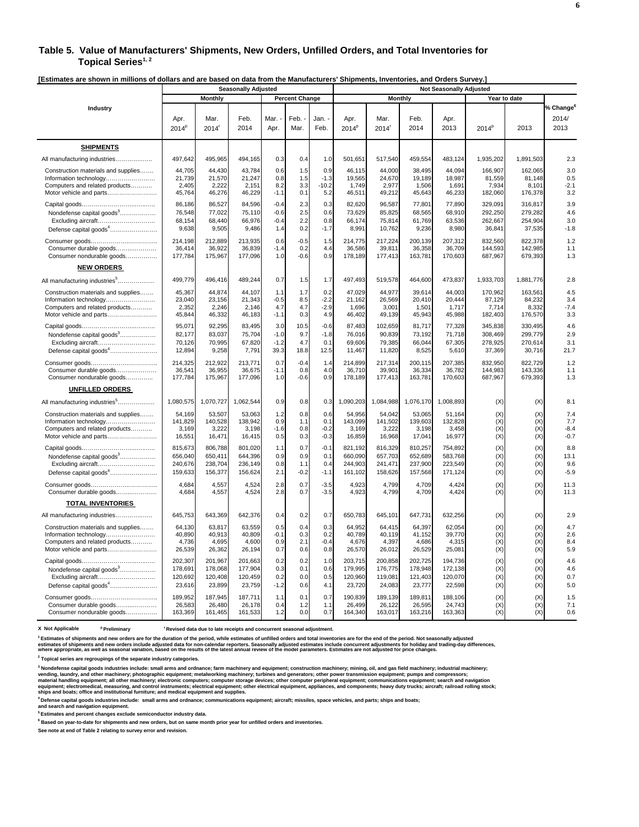#### **Table 5. Value of Manufacturers' Shipments, New Orders, Unfilled Orders, and Total Inventories for**  Topical Series<sup>1,2</sup>

**[Estimates are shown in millions of dollars and are based on data from the Manufacturers' Shipments, Inventories, and Orders Survey.]** 

|                                           | Louinates are shown in millions or donars and are based on data from the manufacturers omphients, inventories, and orders our w<br><b>Seasonally Adjusted</b> |              |              |              | <b>Not Seasonally Adjusted</b> |                |                           |                           |              |              |              |           |                                     |
|-------------------------------------------|---------------------------------------------------------------------------------------------------------------------------------------------------------------|--------------|--------------|--------------|--------------------------------|----------------|---------------------------|---------------------------|--------------|--------------|--------------|-----------|-------------------------------------|
|                                           |                                                                                                                                                               | Monthly      |              |              | <b>Percent Change</b>          |                |                           | <b>Monthly</b>            |              |              | Year to date |           |                                     |
| Industry                                  | Apr.<br>$2014^p$                                                                                                                                              | Mar.<br>2014 | Feb.<br>2014 | Mar.<br>Apr. | Feb.<br>Mar.                   | Jan. ·<br>Feb. | Apr.<br>2014 <sup>P</sup> | Mar.<br>2014 <sup>r</sup> | Feb.<br>2014 | Apr.<br>2013 | $2014^{p}$   | 2013      | % ${\bf Change^6}$<br>2014/<br>2013 |
| <b>SHIPMENTS</b>                          |                                                                                                                                                               |              |              |              |                                |                |                           |                           |              |              |              |           |                                     |
| All manufacturing industries              | 497,642                                                                                                                                                       | 495,965      | 494,165      | 0.3          | 0.4                            | 1.0            | 501,651                   | 517,540                   | 459,554      | 483,124      | 1,935,202    | 1,891,503 | 2.3                                 |
| Construction materials and supplies       | 44,705                                                                                                                                                        | 44,430       | 43,784       | 0.6          | 1.5                            | 0.9            | 46.115                    | 44,000                    | 38.495       | 44.094       | 166.907      | 162,065   | 3.0                                 |
| Information technology                    | 21,739                                                                                                                                                        | 21,570       | 21,247       | 0.8          | 1.5                            | $-1.3$         | 19,565                    | 24,670                    | 19,189       | 18.987       | 81,559       | 81,148    | 0.5                                 |
| Computers and related products            | 2,405                                                                                                                                                         | 2,222        | 2,151        | 8.2          | 3.3                            | $-10.2$        | 1,749                     | 2,977                     | 1,506        | 1,691        | 7,934        | 8,101     | $-2.1$                              |
| Motor vehicle and parts                   | 45,764                                                                                                                                                        | 46,276       | 46,229       | $-1.1$       | 0.1                            | 5.2            | 46,511                    | 49,212                    | 45,643       | 46,233       | 182,060      | 176,378   | 3.2                                 |
|                                           | 86,186                                                                                                                                                        | 86,527       | 84,596       | $-0.4$       | 2.3                            | 0.3            | 82,620                    | 96,587                    | 77,801       | 77,890       | 329,091      | 316,817   | 3.9                                 |
| Nondefense capital goods <sup>3</sup>     | 76,548                                                                                                                                                        | 77,022       | 75,110       | $-0.6$       | 2.5                            | 0.6            | 73,629                    | 85,825                    | 68,565       | 68,910       | 292,250      | 279,282   | 4.6                                 |
| Excluding aircraft                        | 68,154                                                                                                                                                        | 68,440       | 66,976       | $-0.4$       | 2.2                            | 0.8            | 66,174                    | 75,814                    | 61,769       | 63,536       | 262,667      | 254,904   | 3.0                                 |
| Defense capital goods <sup>4</sup>        | 9,638                                                                                                                                                         | 9,505        | 9,486        | 1.4          | 0.2                            | $-1.7$         | 8,991                     | 10,762                    | 9,236        | 8,980        | 36,841       | 37,535    | $-1.8$                              |
|                                           | 214,198                                                                                                                                                       | 212,889      | 213,935      | 0.6          | $-0.5$                         | 1.5            | 214,775                   | 217,224                   | 200,139      | 207,312      | 832,560      | 822,378   | 1.2                                 |
| Consumer durable goods                    | 36,414                                                                                                                                                        | 36,922       | 36,839       | $-1.4$       | 0.2                            | 4.4            | 36.586                    | 39,811                    | 36,358       | 36,709       | 144,593      | 142,985   | 1.1                                 |
| Consumer nondurable goods                 | 177,784                                                                                                                                                       | 175,967      | 177,096      | 1.0          | $-0.6$                         | 0.9            | 178,189                   | 177,413                   | 163,781      | 170,603      | 687,967      | 679,393   | 1.3                                 |
| <b>NEW ORDERS</b>                         |                                                                                                                                                               |              |              |              |                                |                |                           |                           |              |              |              |           |                                     |
| All manufacturing industries <sup>5</sup> | 499,779                                                                                                                                                       | 496,416      | 489,244      | 0.7          | 1.5                            | 1.7            | 497,493                   | 519,578                   | 464,600      | 473,837      | 1,933,703    | 1,881,776 | 2.8                                 |
| Construction materials and supplies       | 45,367                                                                                                                                                        | 44,874       | 44,107       | 1.1          | 1.7                            | 0.2            | 47,029                    | 44,977                    | 39,614       | 44,003       | 170,962      | 163,561   | 4.5                                 |
| Information technology                    | 23,040                                                                                                                                                        | 23,156       | 21,343       | $-0.5$       | 8.5                            | $-2.2$         | 21,162                    | 26,569                    | 20,410       | 20,444       | 87,129       | 84,232    | 3.4                                 |
| Computers and related products            | 2,352                                                                                                                                                         | 2,246        | 2,146        | 4.7          | 4.7                            | $-2.9$         | 1,696                     | 3,001                     | 1,50'        | 1,717        | 7,714        | 8,332     | $-7.4$                              |
| Motor vehicle and parts                   | 45,844                                                                                                                                                        | 46,332       | 46,183       | $-1.1$       | 0.3                            | 4.9            | 46,402                    | 49,139                    | 45,943       | 45,988       | 182,403      | 176,570   | 3.3                                 |
|                                           | 95,071                                                                                                                                                        | 92,295       | 83,495       | 3.0          | 10.5                           | $-0.6$         | 87,483                    | 102,659                   | 81,717       | 77,328       | 345,838      | 330,495   | 4.6                                 |
| Nondefense capital goods <sup>3</sup>     | 82,177                                                                                                                                                        | 83,037       | 75,704       | $-1.0$       | 9.7                            | $-1.8$         | 76,016                    | 90,839                    | 73,192       | 71,718       | 308,469      | 299,779   | 2.9                                 |
| Excluding aircraft                        | 70,126                                                                                                                                                        | 70,995       | 67,820       | $-1.2$       | 4.7                            | 0.1            | 69,606                    | 79,385                    | 66,044       | 67,305       | 278,925      | 270,614   | 3.1                                 |
| Defense capital goods <sup>4</sup>        | 12,894                                                                                                                                                        | 9,258        | 7,791        | 39.3         | 18.8                           | 12.5           | 11,467                    | 11,820                    | 8,525        | 5,610        | 37,369       | 30,716    | 21.7                                |
|                                           | 214,325                                                                                                                                                       | 212,922      | 213,771      | 0.7          | $-0.4$                         | 1.4            | 214,899                   | 217,314                   | 200,115      | 207,385      | 832,950      | 822,729   | 1.2                                 |
| Consumer durable goods                    | 36,541                                                                                                                                                        | 36,955       | 36,675       | $-1.1$       | 0.8                            | 4.0            | 36,710                    | 39,901                    | 36,334       | 36,782       | 144,983      | 143,336   | 1.1                                 |
| Consumer nondurable goods                 | 177,784                                                                                                                                                       | 175,967      | 177,096      | 1.0          | $-0.6$                         | 0.9            | 178,189                   | 177,413                   | 163,781      | 170,603      | 687,967      | 679,393   | 1.3                                 |
| <b>UNFILLED ORDERS</b>                    |                                                                                                                                                               |              |              |              |                                |                |                           |                           |              |              |              |           |                                     |
| All manufacturing industries <sup>5</sup> | 1,080,575                                                                                                                                                     | 1,070,727    | 1,062,544    | 0.9          | 0.8                            | 0.3            | 1,090,203                 | 1,084,988                 | 1,076,170    | 1,008,893    | (X)          | (X)       | 8.1                                 |
| Construction materials and supplies       | 54,169                                                                                                                                                        | 53.507       | 53.063       | 1.2          | 0.8                            | 0.6            | 54.956                    | 54.042                    | 53.065       | 51,164       | (X)          | (X)       | 7.4                                 |
| Information technology                    | 141,829                                                                                                                                                       | 140,528      | 138,942      | 0.9          | 1.1                            | 0.1            | 143,099                   | 141,502                   | 139,603      | 132,828      | (X)          | (X)       | 7.7                                 |
| Computers and related products            | 3,169                                                                                                                                                         | 3,222        | 3,198        | $-1.6$       | 0.8                            | $-0.2$         | 3,169                     | 3.222                     | 3,198        | 3,458        | (X)          | (X)       | $-8.4$                              |
| Motor vehicle and parts                   | 16,551                                                                                                                                                        | 16,471       | 16,415       | 0.5          | 0.3                            | $-0.3$         | 16,859                    | 16,968                    | 17,041       | 16,977       | (X)          | (X)       | $-0.7$                              |
|                                           | 815,673                                                                                                                                                       | 806,788      | 801,020      | 1.1          | 0.7                            | $-0.1$         | 821,192                   | 816,329                   | 810,257      | 754,892      | (X)          | (X)       | 8.8                                 |
| Nondefense capital goods <sup>3</sup>     | 656,040                                                                                                                                                       | 650,411      | 644,396      | 0.9          | 0.9                            | 0.1            | 660,090                   | 657,703                   | 652,689      | 583,768      | (X)          | (X)       | 13.1                                |
| Excluding aircraft                        | 240,676                                                                                                                                                       | 238,704      | 236,149      | 0.8          | 1.1                            | 0.4            | 244,903                   | 241,471                   | 237,900      | 223,549      | (X)          | (X)       | 9.6                                 |
| Defense capital goods <sup>4</sup>        | 159,633                                                                                                                                                       | 156,377      | 156,624      | 2.1          | $-0.2$                         | $-1.1$         | 161,102                   | 158,626                   | 157,568      | 171,124      | (X)          | (X)       | $-5.9$                              |
|                                           | 4,684                                                                                                                                                         | 4,557        | 4,524        | 2.8          | 0.7                            | $-3.5$         | 4,923                     | 4,799                     | 4,709        | 4,424        | (X)          | (X)       | 11.3                                |
| Consumer durable goods                    | 4.684                                                                                                                                                         | 4.557        | 4,524        | 2.8          | 0.7                            | $-3.5$         | 4.923                     | 4,799                     | 4,709        | 4,424        | (X)          | (X)       | 11.3                                |
| <b>TOTAL INVENTORIES</b>                  |                                                                                                                                                               |              |              |              |                                |                |                           |                           |              |              |              |           |                                     |
| All manufacturing industries              | 645,753                                                                                                                                                       | 643,369      | 642,376      | 0.4          | 0.2                            | 0.7            | 650,783                   | 645,101                   | 647,731      | 632,256      | (X)          | (X)       | 2.9                                 |
| Construction materials and supplies       | 64,130                                                                                                                                                        | 63,817       | 63,559       | 0.5          | 0.4                            | 0.3            | 64,952                    | 64,415                    | 64,397       | 62,054       | (X)          | (X)       | 4.7                                 |
| Information technology                    | 40,890                                                                                                                                                        | 40,913       | 40,809       | $-0.1$       | 0.3                            | 0.2            | 40,789                    | 40,119                    | 41,152       | 39,770       | (X)          | (X)       | 2.6                                 |
| Computers and related products            | 4,736                                                                                                                                                         | 4,695        | 4,600        | 0.9          | 2.1                            | $-0.4$         | 4,676                     | 4,397                     | 4,686        | 4,315        | (X)          | (X)       | 8.4                                 |
| Motor vehicle and parts                   | 26,539                                                                                                                                                        | 26,362       | 26,194       | 0.7          | 0.6                            | 0.8            | 26,570                    | 26,012                    | 26,529       | 25,081       | (X)          | (X)       | 5.9                                 |
|                                           | 202,307                                                                                                                                                       | 201,967      | 201,663      | 0.2          | 0.2                            | 1.0            | 203,715                   | 200,858                   | 202,725      | 194,736      | (X)          | (X)       | 4.6                                 |
| Nondefense capital goods <sup>3</sup>     | 178,69                                                                                                                                                        | 178,068      | 177,904      | 0.3          | 0.1                            | 0.6            | 179,995                   | 176,775                   | 178,948      | 172,138      | (X)          | (X)       | 4.6                                 |
| Excluding aircraft                        | 120,692                                                                                                                                                       | 120,408      | 120,459      | 0.2          | 0.0                            | 0.5            | 120,960                   | 119,081                   | 121,403      | 120,070      | (X)          | (X)       | 0.7                                 |
| Defense capital goods <sup>4</sup>        | 23,616                                                                                                                                                        | 23,899       | 23,759       | $-1.2$       | 0.6                            | 4.1            | 23,720                    | 24,083                    | 23,777       | 22,598       | (X)          | (X)       | 5.0                                 |
|                                           | 189,952                                                                                                                                                       | 187,945      | 187,711      | 1.1          | 0.1                            | 0.7            | 190,839                   | 189,139                   | 189,811      | 188,106      | (X)          | (X)       | 1.5                                 |
| Consumer durable goods                    | 26,583                                                                                                                                                        | 26,480       | 26,178       | 0.4          | 1.2                            | 1.1            | 26,499                    | 26,122                    | 26,595       | 24,743       | (X)          | (X)       | 7.1                                 |
| Consumer nondurable goods                 | 163,369                                                                                                                                                       | 161,465      | 161,533      | 1.2          | 0.0                            | 0.7            | 164,340                   | 163,017                   | 163,216      | 163,363      | (X)          | (X)       | 0.6                                 |

**X** Not Applicable <sup>p</sup> Preliminary <sup>r</sup> Revised data due to late receipts and concurrent seasonal adjustment.

.<br>Estimates of shipments and new orders are for the duration of the period, while estimates of unfilled orders and total inventories are for the end of the period. Not seasonally adjusted<br>estimates of shipments and new ord

**2 Topical series are regroupings of the separate industry categories.**

<sup>3</sup> Nondefense capital goods industries include: small arms and ordnance; farm machinery and equipment; construction machinery; mining, oil, and gas field machinery; industrial machinery;<br>vending, laundry, and other machin

**4 Defense capital goods industries include: small arms and ordnance; communications equipment; aircraft; missiles, space vehicles, and parts; ships and boats; and search and navigation equipment.**

**5 Estimates and percent changes exclude semiconductor industry data.** 

**6 Based on year-to-date for shipments and new orders, but on same month prior year for unfilled orders and inventories.**

**See note at end of Table 2 relating to survey error and revision.**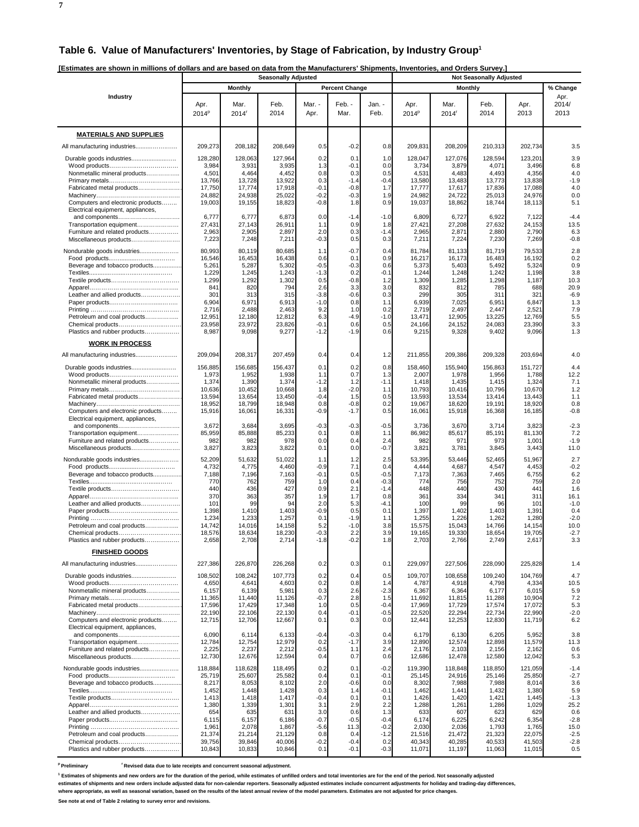**7**

| IEstimates are shown in millions of dollars and are based on data from the Manufacturers' Shipments. Inventories, and Orders Survey,] |  |
|---------------------------------------------------------------------------------------------------------------------------------------|--|
|                                                                                                                                       |  |

|                                                                        | <b>Seasonally Adjusted</b> |                  |                  |                  |                       |                  |                           | <b>Not Seasonally Adjusted</b> |                  |                  |                       |  |  |  |
|------------------------------------------------------------------------|----------------------------|------------------|------------------|------------------|-----------------------|------------------|---------------------------|--------------------------------|------------------|------------------|-----------------------|--|--|--|
|                                                                        |                            | <b>Monthly</b>   |                  |                  | <b>Percent Change</b> |                  |                           | <b>Monthly</b>                 |                  |                  | % Change              |  |  |  |
| Industry                                                               | Apr.<br>$2014^p$           | Mar.<br>2014     | Feb.<br>2014     | Mar. -<br>Apr.   | Feb. -<br>Mar.        | Jan. -<br>Feb.   | Apr.<br>2014 <sup>p</sup> | Mar.<br>$2014$ <sup>r</sup>    | Feb.<br>2014     | Apr.<br>2013     | Apr.<br>2014/<br>2013 |  |  |  |
| <b>MATERIALS AND SUPPLIES</b>                                          |                            |                  |                  |                  |                       |                  |                           |                                |                  |                  |                       |  |  |  |
|                                                                        | 209,273                    | 208,182          | 208,649          | 0.5              | $-0.2$                | 0.8              | 209,831                   | 208,209                        | 210,313          | 202,734          | 3.5                   |  |  |  |
|                                                                        | 128,280                    | 128,063          | 127,964          | 0.2              | 0.1                   | 1.0              | 128,047                   | 127,076                        | 128,594          | 123,201          | 3.9                   |  |  |  |
|                                                                        | 3,984                      | 3,931            | 3,935            | 1.3              | -0.1                  | 0.0              | 3,734                     | 3,879                          | 4,071            | 3,496            | 6.8                   |  |  |  |
| Nonmetallic mineral products                                           | 4,501<br>13,766            | 4,464<br>13,728  | 4,452<br>13,922  | 0.8<br>0.3       | 0.3<br>$-1.4$         | 0.5<br>$-0.4$    | 4,531<br>13,580           | 4,483<br>13,483                | 4,493<br>13,773  | 4,356<br>13,838  | 4.0<br>$-1.9$         |  |  |  |
| Fabricated metal products                                              | 17,750                     | 17,774           | 17,918           | $-0.1$           | $-0.8$                | 1.7              | 17,777                    | 17,617                         | 17,836           | 17,088           | 4.0                   |  |  |  |
|                                                                        | 24,882<br>19,003           | 24,938           | 25,022           | $-0.2$<br>$-0.8$ | $-0.3$                | 1.9<br>0.9       | 24,982<br>19,037          | 24,722                         | 25,013           | 24,976           | 0.0<br>5.1            |  |  |  |
| Computers and electronic products<br>Electrical equipment, appliances, |                            | 19,155           | 18,823           |                  | 1.8                   |                  |                           | 18,862                         | 18,744           | 18,113           |                       |  |  |  |
| and components                                                         | 6,777                      | 6,777            | 6,873            | 0.0              | $-1.4$                | $-1.0$           | 6,809                     | 6,727                          | 6,922            | 7,122            | $-4.4$                |  |  |  |
| Transportation equipment<br>Furniture and related products             | 27,431<br>2,963            | 27,143<br>2,905  | 26,911<br>2,897  | 1.1<br>2.0       | 0.9<br>0.3            | 1.8<br>$-1.4$    | 27,421<br>2,965           | 27,208<br>2,871                | 27,632<br>2,880  | 24,153<br>2,790  | 13.5<br>6.3           |  |  |  |
| Miscellaneous products                                                 | 7,223                      | 7,248            | 7,211            | $-0.3$           | 0.5                   | 0.3              | 7,211                     | 7,224                          | 7,230            | 7,269            | $-0.8$                |  |  |  |
| Nondurable goods industries                                            | 80,993                     | 80,119           | 80,685           | 1.1              | $-0.7$                | 0.4              | 81,784                    | 81,133                         | 81,719           | 79,533           | 2.8                   |  |  |  |
| Beverage and tobacco products                                          | 16,546<br>5,261            | 16,453<br>5,287  | 16,438<br>5,302  | 0.6<br>$-0.5$    | 0.1<br>$-0.3$         | 0.9<br>0.6       | 16,217<br>5,373           | 16,173<br>5,403                | 16,483<br>5,492  | 16,192<br>5,324  | 0.2<br>0.9            |  |  |  |
|                                                                        | 1,229                      | 1,245            | 1,243            | $-1.3$           | 0.2                   | $-0.1$           | 1,244                     | 1,248                          | 1,242            | 1,198            | 3.8                   |  |  |  |
|                                                                        | 1,299<br>841               | 1,292<br>820     | 1,302<br>794     | 0.5<br>2.6       | $-0.8$<br>3.3         | 1.2<br>3.0       | 1,309<br>832              | 1,285<br>812                   | 1,298<br>785     | 1,187<br>688     | 10.3<br>20.9          |  |  |  |
| Leather and allied products                                            | 301                        | 313              | 315              | $-3.8$           | $-0.6$                | 0.3              | 299                       | 305                            | 311              | 321              | $-6.9$                |  |  |  |
|                                                                        | 6,904<br>2,716             | 6,971<br>2,488   | 6,913<br>2,463   | $-1.0$<br>9.2    | 0.8<br>1.0            | 1.1<br>0.2       | 6,939<br>2,719            | 7,025<br>2,497                 | 6,951<br>2,447   | 6,847<br>2,521   | 1.3<br>7.9            |  |  |  |
| Petroleum and coal products                                            | 12,951                     | 12,180           | 12,812           | 6.3              | $-4.9$                | $-1.0$           | 13,471                    | 12,905                         | 13,225           | 12,769           | 5.5                   |  |  |  |
| Chemical products<br>Plastics and rubber products                      | 23,958<br>8,987            | 23,972<br>9,098  | 23,826<br>9,277  | $-0.1$<br>$-1.2$ | 0.6<br>$-1.9$         | 0.5<br>0.6       | 24,166<br>9,215           | 24,152<br>9,328                | 24,083<br>9,402  | 23,390<br>9,096  | 3.3<br>1.3            |  |  |  |
|                                                                        |                            |                  |                  |                  |                       |                  |                           |                                |                  |                  |                       |  |  |  |
| <b>WORK IN PROCESS</b>                                                 |                            |                  |                  |                  |                       |                  |                           |                                |                  |                  |                       |  |  |  |
| All manufacturing industries                                           | 209.094                    | 208,317          | 207,459          | 0.4              | 0.4                   | 1.2              | 211,855                   | 209,386                        | 209,328          | 203,694          | 4.0                   |  |  |  |
|                                                                        | 156.885<br>1,973           | 156.685<br>1,952 | 156,437<br>1,938 | 0.1<br>1.1       | 0.2<br>0.7            | 0.8<br>1.3       | 158.460<br>2,007          | 155.940<br>1,978               | 156,863<br>1,956 | 151,727<br>1,788 | 4.4<br>12.2           |  |  |  |
| Nonmetallic mineral products                                           | 1,374                      | 1,390            | 1,374            | $-1.2$           | 1.2                   | $-1.1$           | 1,418                     | 1,435                          | 1,415            | 1,324            | 7.1                   |  |  |  |
| Fabricated metal products                                              | 10,636<br>13,594           | 10,452<br>13,654 | 10,668<br>13,450 | 1.8<br>$-0.4$    | $-2.0$<br>1.5         | 1.1<br>0.5       | 10,793<br>13,593          | 10,416<br>13,534               | 10,796<br>13,414 | 10,670<br>13,443 | 1.2<br>1.1            |  |  |  |
|                                                                        | 18,952                     | 18,799           | 18,948           | 0.8              | $-0.8$                | 0.2              | 19,067                    | 18,620                         | 19,191           | 18,920           | 0.8                   |  |  |  |
| Computers and electronic products                                      | 15,916                     | 16,061           | 16,331           | $-0.9$           | $-1.7$                | 0.5              | 16,061                    | 15,918                         | 16,368           | 16,185           | $-0.8$                |  |  |  |
| Electrical equipment, appliances,<br>and components                    | 3,672                      | 3,684            | 3,695            | $-0.3$           | $-0.3$                | $-0.5$           | 3,736                     | 3,670                          | 3,714            | 3,823            | $-2.3$                |  |  |  |
| Transportation equipment                                               | 85,959                     | 85,888           | 85,233           | 0.1              | 0.8                   | 1.1              | 86,982                    | 85,617                         | 85,191           | 81,130           | 7.2                   |  |  |  |
| Furniture and related products<br>Miscellaneous products               | 982<br>3,827               | 982<br>3,823     | 978<br>3,822     | 0.0<br>0.1       | 0.4<br>0.0            | 2.4<br>$-0.7$    | 982<br>3,821              | 971<br>3,781                   | 973<br>3,845     | 1,001<br>3,443   | $-1.9$<br>11.0        |  |  |  |
| Nondurable goods industries                                            | 52,209                     | 51,632           | 51,022           | 1.1              | 1.2                   | 2.5              | 53,395                    | 53,446                         | 52,465           | 51,967           | 2.7                   |  |  |  |
|                                                                        | 4,732                      | 4,775            | 4,460            | $-0.9$           | 7.1                   | 0.4              | 4,444                     | 4,687                          | 4,547            | 4,453            | $-0.2$                |  |  |  |
| Beverage and tobacco products                                          | 7,188<br>770               | 7,196<br>762     | 7,163<br>759     | $-0.1$<br>1.0    | 0.5<br>0.4            | $-0.5$<br>$-0.3$ | 7,173<br>774              | 7,363<br>756                   | 7,465<br>752     | 6,755<br>759     | 6.2<br>2.0            |  |  |  |
|                                                                        | 440                        | 436              | 427              | 0.9              | 2.1                   | $-1.4$           | 448                       | 440                            | 430              | 441              | 1.6                   |  |  |  |
| Leather and allied products                                            | 370<br>101                 | 363<br>99        | 357<br>94        | 1.9<br>2.0       | 1.7<br>5.3            | 0.8<br>-4.1      | 361<br>100                | 334<br>99                      | 341<br>96        | 311<br>101       | 16.1<br>$-1.0$        |  |  |  |
|                                                                        | 1,398                      | 1,410            | 1,403            | $-0.9$           | 0.5                   | 0.1              | 1,397                     | 1,402                          | 1,403            | 1,391            | 0.4                   |  |  |  |
| Petroleum and coal products                                            | 1,234<br>14,742            | 1,233<br>14,016  | 1,257<br>14,158  | 0.1<br>5.2       | $-1.9$<br>$-1.0$      | 1.1<br>3.8       | 1,255<br>15,575           | 1,226<br>15,043                | 1,262<br>14,766  | 1,280<br>14,154  | $-2.0$<br>10.0        |  |  |  |
| Chemical products                                                      | 18,576                     | 18,634           | 18,230           | $-0.3$           | 2.2                   | 3.9              | 19,165                    | 19,330                         | 18,654           | 19,705           | $-2.7$                |  |  |  |
| Plastics and rubber products                                           | 2,658                      | 2,708            | 2,71             | -1.8             | -0.2                  | 1.8              | 2,703                     | 2,766                          | 2,749            | 2,61             | 3.3                   |  |  |  |
| <b>FINISHED GOODS</b>                                                  |                            |                  |                  |                  |                       |                  |                           |                                |                  |                  |                       |  |  |  |
| All manufacturing industries                                           | 227,386                    | 226,870          | 226,268          | 0.2              | 0.3                   | 0.1              | 229.097                   | 227,506                        | 228,090          | 225,828          | 1.4                   |  |  |  |
|                                                                        | 108,502                    | 108,242          | 107,773          | 0.2              | 0.4                   | 0.5              | 109.707                   | 108,658                        | 109,240          | 104,769          | 4.7                   |  |  |  |
| Nonmetallic mineral products                                           | 4,650<br>6,157             | 4,641<br>6,139   | 4,603<br>5,981   | 0.2<br>0.3       | 0.8<br>2.6            | 1.4<br>$-2.3$    | 4,787<br>6,367            | 4,918<br>6,364                 | 4,798<br>6,177   | 4,334<br>6,015   | 10.5<br>5.9           |  |  |  |
|                                                                        | 11,365                     | 11,440           | 11,126           | $-0.7$           | 2.8                   | 1.5              | 11,692                    | 11,815                         | 11,288           | 10,904           | 7.2                   |  |  |  |
| Fabricated metal products                                              | 17,596<br>22,190           | 17,429<br>22,106 | 17,348<br>22,130 | 1.0<br>0.4       | 0.5<br>$-0.1$         | $-0.4$<br>$-0.5$ | 17,969<br>22,520          | 17,729<br>22,294               | 17,574<br>22,734 | 17,072<br>22,990 | 5.3<br>$-2.0$         |  |  |  |
| Computers and electronic products                                      | 12,715                     | 12,706           | 12,667           | 0.1              | 0.3                   | 0.0              | 12,441                    | 12,253                         | 12,830           | 11,719           | 6.2                   |  |  |  |
| Electrical equipment, appliances,<br>and components                    | 6,090                      | 6,114            | 6,133            | $-0.4$           | $-0.3$                | 0.4              | 6,179                     | 6,130                          | 6,205            | 5,952            | 3.8                   |  |  |  |
| Transportation equipment                                               | 12,784                     | 12,754           | 12,979           | 0.2              | $-1.7$                | 3.9              | 12,890                    | 12,574                         | 12,898           | 11,579           | 11.3                  |  |  |  |
| Furniture and related products<br>Miscellaneous products               | 2,225<br>12,730            | 2,237<br>12,676  | 2,212<br>12,594  | $-0.5$<br>0.4    | 1.1<br>0.7            | 2.4<br>0.6       | 2,176<br>12,686           | 2,103<br>12,478                | 2,156<br>12,580  | 2,162<br>12,042  | 0.6<br>5.3            |  |  |  |
| Nondurable goods industries                                            | 118,884                    | 118,628          | 118,495          | 0.2              | 0.1                   | $-0.2$           | 119,390                   | 118,848                        | 118,850          | 121,059          | $-1.4$                |  |  |  |
|                                                                        | 25,719                     | 25,607           | 25,582           | 0.4              | 0.1                   | $-0.1$           | 25,145                    | 24,916                         | 25,146           | 25,850           | $-2.7$                |  |  |  |
| Beverage and tobacco products                                          | 8,217<br>1,452             | 8,053<br>1,448   | 8,102<br>1,428   | 2.0<br>0.3       | $-0.6$<br>1.4         | 0.0<br>$-0.1$    | 8,302<br>1,462            | 7,988<br>1,441                 | 7,988<br>1,432   | 8,014<br>1,380   | 3.6<br>5.9            |  |  |  |
|                                                                        | 1,413                      | 1,418            | 1,417            | $-0.4$           | 0.1                   | 0.1              | 1,426                     | 1,420                          | 1,421            | 1,445            | $-1.3$                |  |  |  |
|                                                                        | 1,380                      | 1,339            | 1,301            | 3.1              | 2.9                   | 2.2              | 1,288                     | 1,261                          | 1,286            | 1,029            | 25.2                  |  |  |  |
| Leather and allied products                                            | 654<br>6,115               | 635<br>6,157     | 631<br>6,186     | 3.0<br>$-0.7$    | 0.6<br>$-0.5$         | 1.3<br>$-0.4$    | 633<br>6,174              | 607<br>6,225                   | 623<br>6,242     | 629<br>6,354     | 0.6<br>$-2.8$         |  |  |  |
|                                                                        | 1,961                      | 2,078            | 1,867            | $-5.6$           | 11.3                  | $-0.2$           | 2,030                     | 2,036                          | 1,793            | 1,765            | 15.0                  |  |  |  |
| Petroleum and coal products<br>Chemical products                       | 21,374<br>39,756           | 21,214<br>39,846 | 21,129<br>40,006 | 0.8<br>$-0.2$    | 0.4<br>$-0.4$         | $-1.2$<br>0.2    | 21,516<br>40,343          | 21,472<br>40,285               | 21,323<br>40,533 | 22,075<br>41,503 | $-2.5$<br>$-2.8$      |  |  |  |
| Plastics and rubber products                                           | 10,843                     | 10,833           | 10,846           | 0.1              | $-0.1$                | $-0.3$           | 11,071                    | 11,197                         | 11,063           | 11,015           | 0.5                   |  |  |  |

<sup>p</sup> Preliminary <sup>r</sup> Revised data due to late receipts and concurrent seasonal adjustment.

<sup>1</sup> Estimates of shipments and new orders are for the duration of the period, while estimates of unfilled orders and total inventories are for the end of the period. Not seasonally adjusted

estimates of shipments and new orders include adjusted data for non-calendar reporters. Seasonally adjusted estimates include concurrent adjustments for holiday and trading-day differences,<br>where appropriate, as well as se

**See note at end of Table 2 relating to survey error and revisions.**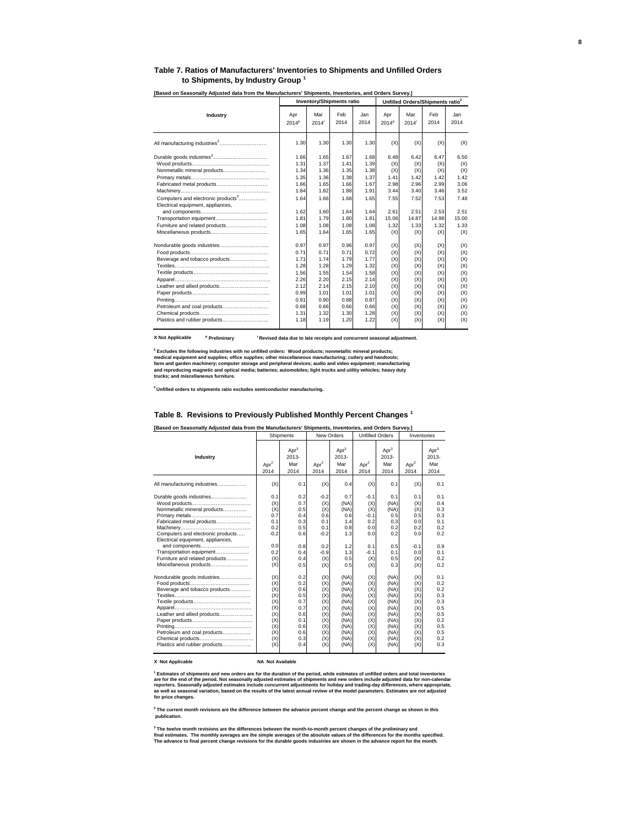#### **Table 7. Ratios of Manufacturers' Inventories to Shipments and Unfilled Orders to Shipments, by Industry Group <sup>1</sup>**

|                                                                                                                                                                                                                |                                                                                                      | <b>Inventory/Shipments ratio</b>                                                                     |                                                                                                      |                                                                                                      |                                                                                         | Unfilled Orders/Shipments ratio <sup>2</sup>                                            |                                                                                         |                                                                                         |
|----------------------------------------------------------------------------------------------------------------------------------------------------------------------------------------------------------------|------------------------------------------------------------------------------------------------------|------------------------------------------------------------------------------------------------------|------------------------------------------------------------------------------------------------------|------------------------------------------------------------------------------------------------------|-----------------------------------------------------------------------------------------|-----------------------------------------------------------------------------------------|-----------------------------------------------------------------------------------------|-----------------------------------------------------------------------------------------|
| Industry                                                                                                                                                                                                       | Apr<br>2014 <sup>p</sup>                                                                             | Mar<br>$2014$ <sup>r</sup>                                                                           | Feb<br>2014                                                                                          | Jan<br>2014                                                                                          | Apr<br>$2014^p$                                                                         | Mar<br>$2014$ <sup>r</sup>                                                              | Feb<br>2014                                                                             | Jan.<br>2014                                                                            |
| All manufacturing industries <sup>3</sup>                                                                                                                                                                      | 1.30                                                                                                 | 1.30                                                                                                 | 1.30                                                                                                 | 1.30                                                                                                 | (X)                                                                                     | (X)                                                                                     | (X)                                                                                     | (X)                                                                                     |
| Nonmetallic mineral products<br>Fabricated metal products<br>Computers and electronic products <sup>3</sup><br>Electrical equipment, appliances,<br>Transportation equipment<br>Furniture and related products | 1.66<br>1.31<br>1.34<br>1.35<br>1.66<br>1.84<br>1.64<br>1.62<br>1.81<br>1.08                         | 1.65<br>1.37<br>1.36<br>1.36<br>1.65<br>1.82<br>1.66<br>1.60<br>1.79<br>1.08                         | 1.67<br>1.41<br>1.35<br>1.38<br>1.66<br>1.88<br>1.68<br>1.64<br>1.80<br>1.08                         | 1.68<br>1.39<br>1.38<br>1.37<br>1.67<br>1.91<br>1.65<br>1.64<br>1.81<br>1.08                         | 6.48<br>(X)<br>(X)<br>1.41<br>2.98<br>3.44<br>7.55<br>2.61<br>15.06<br>1.32             | 6.42<br>(X)<br>(X)<br>1.42<br>2.96<br>3.40<br>7.52<br>2.51<br>14.87<br>1.33             | 6.47<br>(X)<br>(X)<br>1.42<br>2.99<br>3.46<br>7.53<br>2.53<br>14.98<br>1.32             | 6.50<br>(X)<br>(X)<br>1.42<br>3.06<br>3.52<br>7.48<br>2.51<br>15.00<br>1.33             |
| Beverage and tobacco products<br>Leather and allied products<br>Petroleum and coal products<br>Plastics and rubber products                                                                                    | 1.65<br>0.97<br>0.71<br>1.71<br>1.28<br>1.56<br>2.26<br>2.12<br>0.99<br>0.91<br>0.68<br>1.31<br>1.18 | 1.64<br>0.97<br>0.71<br>1.74<br>1.28<br>1.55<br>2.20<br>2.14<br>1.01<br>0.90<br>0.66<br>1.32<br>1.19 | 1.65<br>0.96<br>0.71<br>1.79<br>1.29<br>1.54<br>2.15<br>2.15<br>1.01<br>0.88<br>0.66<br>1.30<br>1.20 | 1.65<br>0.97<br>0.72<br>1.77<br>1.32<br>1.58<br>2.14<br>2.10<br>1.01<br>0.87<br>0.66<br>1.28<br>1.22 | (X)<br>(X)<br>(X)<br>(X)<br>(X)<br>(X)<br>(X)<br>(X)<br>(X)<br>(X)<br>(X)<br>(X)<br>(X) | (X)<br>(X)<br>(X)<br>(X)<br>(X)<br>(X)<br>(X)<br>(X)<br>(X)<br>(X)<br>(X)<br>(X)<br>(X) | (X)<br>(X)<br>(X)<br>(X)<br>(X)<br>(X)<br>(X)<br>(X)<br>(X)<br>(X)<br>(X)<br>(X)<br>(X) | (X)<br>(X)<br>(X)<br>(X)<br>(X)<br>(X)<br>(X)<br>(X)<br>(X)<br>(X)<br>(X)<br>(X)<br>(X) |

**[Based on Seasonally Adjusted data from the Manufacturers' Shipments, Inventories, and Orders Survey.]** 

**X Not Applicable <sup>p</sup>** <sup>r</sup> Revised data due to late receipts and concurrent seasonal adjustment.

<sup>2</sup> Excludes the following industries with no unfilled orders: Wood products; nonmetallic mineral products;<br>medical equipment and supplies; office supplies; other miscellaneous manufacturing; cutlery and handtools;<br>farm an

**3 Unfilled orders to shipments ratio excludes semiconductor manufacturing.**

#### **Table 8. Revisions to Previously Published Monthly Percent Changes 1**

|                                   |                  | Shipments                           | New Orders       |                                  |                  | <b>Unfilled Orders</b>           | Inventories      |                                  |  |
|-----------------------------------|------------------|-------------------------------------|------------------|----------------------------------|------------------|----------------------------------|------------------|----------------------------------|--|
| Industry                          | Apr <sup>2</sup> | Apr <sup>3</sup><br>$2013 -$<br>Mar | Apr <sup>2</sup> | Apr <sup>3</sup><br>2013-<br>Mar | Apr <sup>2</sup> | Apr <sup>3</sup><br>2013-<br>Mar | Apr <sup>2</sup> | Apr <sup>3</sup><br>2013-<br>Mar |  |
|                                   | 2014             | 2014                                | 2014             | 2014                             | 2014             | 2014                             | 2014             | 2014                             |  |
| All manufacturing industries      | (X)              | 0.1                                 | (X)              | 0.4                              | (X)              | 0.1                              | (X)              | 0.1                              |  |
| Durable goods industries          | 0.1              | 0.2                                 | $-0.2$           | 0.7                              | $-0.1$           | 0.1                              | 0.1              | 0.1                              |  |
|                                   | (X)              | 0.7                                 | (X)              | (NA)                             | (X)              | (NA)                             | (X)              | 0.4                              |  |
| Nonmetallic mineral products      | (X)              | 0.5                                 | (X)              | (NA)                             | (X)              | (NA)                             | (X)              | 0.3                              |  |
|                                   | 0.7              | 0.4                                 | 0.6              | 0.6                              | $-0.1$           | 0.5                              | 0.5              | 0.3                              |  |
| Fabricated metal products         | 0.1              | 0.3                                 | 0.1              | 1.4                              | 0.2              | 0.3                              | 0.0              | 0.1                              |  |
|                                   | 0.2              | 0.5                                 | 0.1              | 0.8                              | 0.0              | 0.2                              | 0.2              | 0.2                              |  |
| Computers and electronic products | $-0.2$           | 0.6                                 | $-0.2$           | 1.3                              | 0.0              | 0.2                              | 0.0              | 0.2                              |  |
| Electrical equipment, appliances, |                  |                                     |                  |                                  |                  |                                  |                  |                                  |  |
| and components                    | 0.0              | 0.8                                 | 0.2              | 1.2                              | 0.1              | 0.5                              | $-0.1$           | 0.9                              |  |
| Transportation equipment          | 0.2              | 0.4                                 | $-0.9$           | 1.3                              | $-0.1$           | 0.1                              | 0.0              | 0.1                              |  |
| Furniture and related products    | (X)              | 0.4                                 | (X)              | 0.5                              | (X)              | 0.5                              | (X)              | 0.2                              |  |
| Miscellaneous products            | (X)              | 0.5                                 | (X)              | 0.5                              | (X)              | 0.3                              | (X)              | 0.2                              |  |
| Nondurable goods industries       | (X)              | 0.2                                 | (X)              | (NA)                             | (X)              | (NA)                             | (X)              | 0.1                              |  |
|                                   | (X)              | 0.2                                 | (X)              | (NA)                             | (X)              | (NA)                             | (X)              | 0.2                              |  |
| Beverage and tobacco products     | (X)              | 0.6                                 | (X)              | (NA)                             | (X)              | (NA)                             | (X)              | 0.2                              |  |
|                                   | (X)              | 0.5                                 | (X)              | (NA)                             | (X)              | (NA)                             | (X)              | 0.3                              |  |
|                                   | (X)              | 0.7                                 | (X)              | (NA)                             | (X)              | (NA)                             | (X)              | 0.3                              |  |
|                                   | (X)              | 0.7                                 | (X)              | (NA)                             | (X)              | (NA)                             | (X)              | 0.5                              |  |
| Leather and allied products       | (X)              | 0.6                                 | (X)              | (NA)                             | (X)              | (NA)                             | (X)              | 0.5                              |  |
|                                   | (X)              | 0.1                                 | (X)              | (NA)                             | (X)              | (NA)                             | (X)              | 0.2                              |  |
|                                   | (X)              | 0.6                                 | (X)              | (NA)                             | (X)              | (NA)                             | (X)              | 0.5                              |  |
| Petroleum and coal products       | (X)              | 0.6                                 | (X)              | (NA)                             | (X)              | (NA)                             | (X)              | 0.5                              |  |
| Chemical products                 | (X)              | 0.3                                 | (X)              | (NA)                             | (X)              | (NA)                             | (X)              | 0.2                              |  |
| Plastics and rubber products      | (X)              | 0.4                                 | (X)              | (NA)                             | (X)              | (NA)                             | (X)              | 0.3                              |  |

#### **X Not Applicable NA Not Available**

<sup>1</sup> Estimates of shipments and new orders are for the duration of the period, while estimates of unfilled orders and total inventories<br>are for the end of the period. Not seasonally adjusted estimates of shipments and new o

**2 The current month revisions are the difference between the advance percent change and the percent change as shown in this publication.**

<sup>3</sup> The twelve month revisions are the differences between the month-to-month percent changes of the preliminary and<br>final estimates. The monthly averages are the simple averages of the absolute values of the differences f